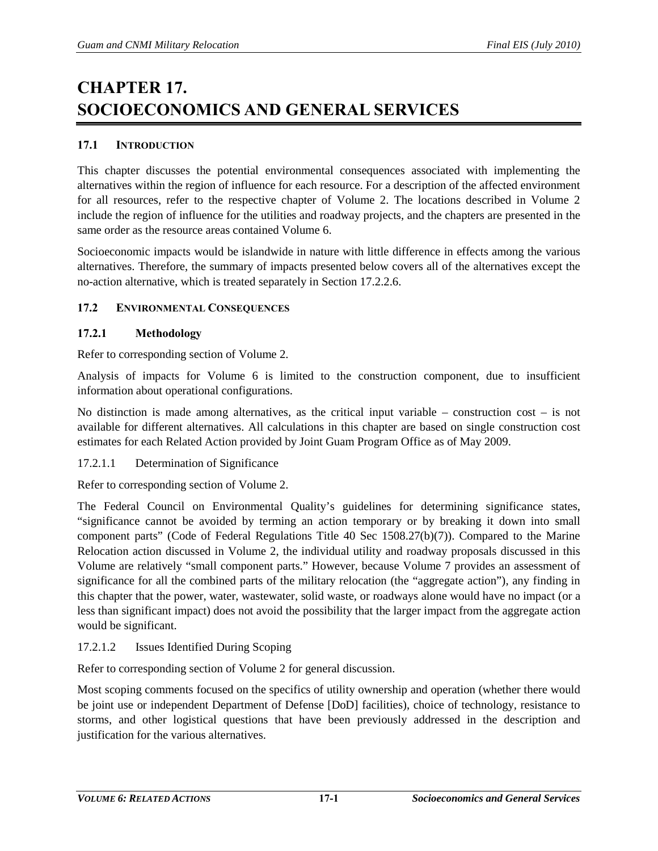# **CHAPTER 17. SOCIOECONOMICS AND GENERAL SERVICES**

# **17.1 INTRODUCTION**

This chapter discusses the potential environmental consequences associated with implementing the alternatives within the region of influence for each resource. For a description of the affected environment for all resources, refer to the respective chapter of Volume 2. The locations described in Volume 2 include the region of influence for the utilities and roadway projects, and the chapters are presented in the same order as the resource areas contained Volume 6.

Socioeconomic impacts would be islandwide in nature with little difference in effects among the various alternatives. Therefore, the summary of impacts presented below covers all of the alternatives except the no-action alternative, which is treated separately in Section [17.2.2.6.](#page-12-0)

# **17.2 ENVIRONMENTAL CONSEQUENCES**

# **17.2.1 Methodology**

Refer to corresponding section of Volume 2.

Analysis of impacts for Volume 6 is limited to the construction component, due to insufficient information about operational configurations.

No distinction is made among alternatives, as the critical input variable – construction cost – is not available for different alternatives. All calculations in this chapter are based on single construction cost estimates for each Related Action provided by Joint Guam Program Office as of May 2009.

# 17.2.1.1 Determination of Significance

Refer to corresponding section of Volume 2.

The Federal Council on Environmental Quality's guidelines for determining significance states, "significance cannot be avoided by terming an action temporary or by breaking it down into small component parts" (Code of Federal Regulations Title 40 Sec 1508.27(b)(7)). Compared to the Marine Relocation action discussed in Volume 2, the individual utility and roadway proposals discussed in this Volume are relatively "small component parts." However, because Volume 7 provides an assessment of significance for all the combined parts of the military relocation (the "aggregate action"), any finding in this chapter that the power, water, wastewater, solid waste, or roadways alone would have no impact (or a less than significant impact) does not avoid the possibility that the larger impact from the aggregate action would be significant.

# 17.2.1.2 Issues Identified During Scoping

Refer to corresponding section of Volume 2 for general discussion.

Most scoping comments focused on the specifics of utility ownership and operation (whether there would be joint use or independent Department of Defense [DoD] facilities), choice of technology, resistance to storms, and other logistical questions that have been previously addressed in the description and justification for the various alternatives.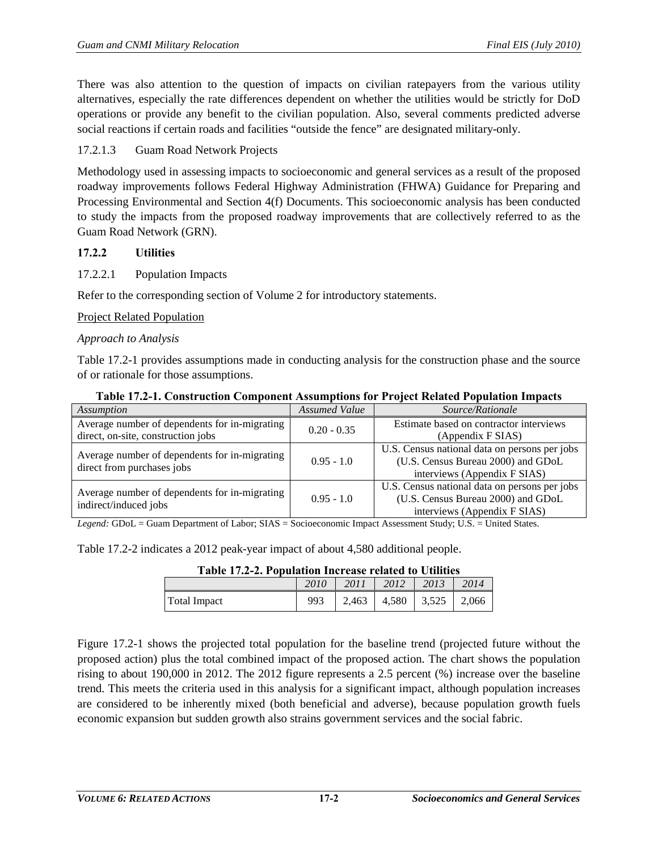There was also attention to the question of impacts on civilian ratepayers from the various utility alternatives, especially the rate differences dependent on whether the utilities would be strictly for DoD operations or provide any benefit to the civilian population. Also, several comments predicted adverse social reactions if certain roads and facilities "outside the fence" are designated military-only.

# 17.2.1.3 Guam Road Network Projects

Methodology used in assessing impacts to socioeconomic and general services as a result of the proposed roadway improvements follows Federal Highway Administration (FHWA) Guidance for Preparing and Processing Environmental and Section 4(f) Documents. This socioeconomic analysis has been conducted to study the impacts from the proposed roadway improvements that are collectively referred to as the Guam Road Network (GRN).

# **17.2.2 Utilities**

17.2.2.1 Population Impacts

Refer to the corresponding section of Volume 2 for introductory statements.

Project Related Population

# *Approach to Analysis*

[Table 17.2-1](#page-1-0) provides assumptions made in conducting analysis for the construction phase and the source of or rationale for those assumptions.

<span id="page-1-0"></span>

| Assumption                                                             | <b>Assumed Value</b> | Source/Rationale                              |
|------------------------------------------------------------------------|----------------------|-----------------------------------------------|
| Average number of dependents for in-migrating                          | $0.20 - 0.35$        | Estimate based on contractor interviews       |
| direct, on-site, construction jobs                                     |                      | (Appendix F SIAS)                             |
|                                                                        |                      | U.S. Census national data on persons per jobs |
| Average number of dependents for in-migrating                          | $0.95 - 1.0$         | (U.S. Census Bureau 2000) and GDoL            |
| direct from purchases jobs                                             |                      | interviews (Appendix F SIAS)                  |
|                                                                        |                      | U.S. Census national data on persons per jobs |
| Average number of dependents for in-migrating<br>indirect/induced jobs | $0.95 - 1.0$         | (U.S. Census Bureau 2000) and GDoL            |
|                                                                        |                      | interviews (Appendix F SIAS)                  |
|                                                                        |                      |                                               |

### **Table 17.2-1. Construction Component Assumptions for Project Related Population Impacts**

*Legend:* GDoL = Guam Department of Labor; SIAS = Socioeconomic Impact Assessment Study; U.S. = United States.

<span id="page-1-1"></span>[Table 17.2-2](#page-1-1) indicates a 2012 peak-year impact of about 4,580 additional people.

| Table 17.2-2. Population Increase related to Utilities |                                 |  |  |
|--------------------------------------------------------|---------------------------------|--|--|
|                                                        | 2010   2011   2012   2013   201 |  |  |

|                     | 2010 | 2011                          | 2012 | 2013 | 2014 |
|---------------------|------|-------------------------------|------|------|------|
| <b>Total Impact</b> | 993  | 2,463   4,580   3,525   2,066 |      |      |      |

[Figure 17.2-1](#page-2-0) shows the projected total population for the baseline trend (projected future without the proposed action) plus the total combined impact of the proposed action. The chart shows the population rising to about 190,000 in 2012. The 2012 figure represents a 2.5 percent (%) increase over the baseline trend. This meets the criteria used in this analysis for a significant impact, although population increases are considered to be inherently mixed (both beneficial and adverse), because population growth fuels economic expansion but sudden growth also strains government services and the social fabric.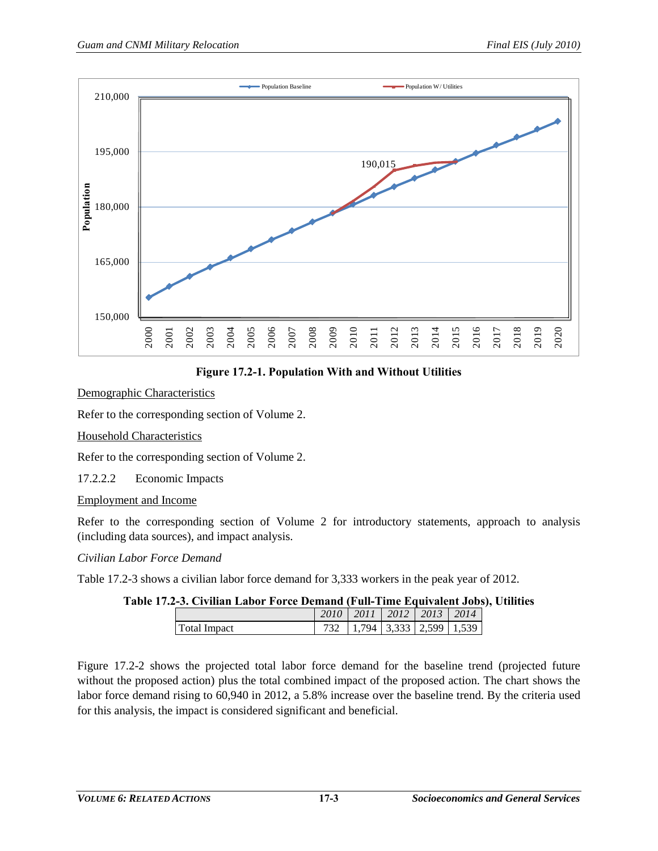

**Figure 17.2-1. Population With and Without Utilities** 

# <span id="page-2-0"></span>Demographic Characteristics

Refer to the corresponding section of Volume 2.

# Household Characteristics

Refer to the corresponding section of Volume 2.

17.2.2.2 Economic Impacts

# Employment and Income

Refer to the corresponding section of Volume 2 for introductory statements, approach to analysis (including data sources), and impact analysis.

# *Civilian Labor Force Demand*

<span id="page-2-1"></span>[Table 17.2-3](#page-2-1) shows a civilian labor force demand for 3,333 workers in the peak year of 2012.

# **Table 17.2-3. Civilian Labor Force Demand (Full-Time Equivalent Jobs), Utilities**

|                     | 2010 | 2011 | 2012 | $\mid$ 2013 | 2014 |
|---------------------|------|------|------|-------------|------|
| <b>Total Impact</b> |      | 794  |      | 333312599   | .539 |

[Figure 17.2-2](#page-3-0) shows the projected total labor force demand for the baseline trend (projected future without the proposed action) plus the total combined impact of the proposed action. The chart shows the labor force demand rising to 60,940 in 2012, a 5.8% increase over the baseline trend. By the criteria used for this analysis, the impact is considered significant and beneficial.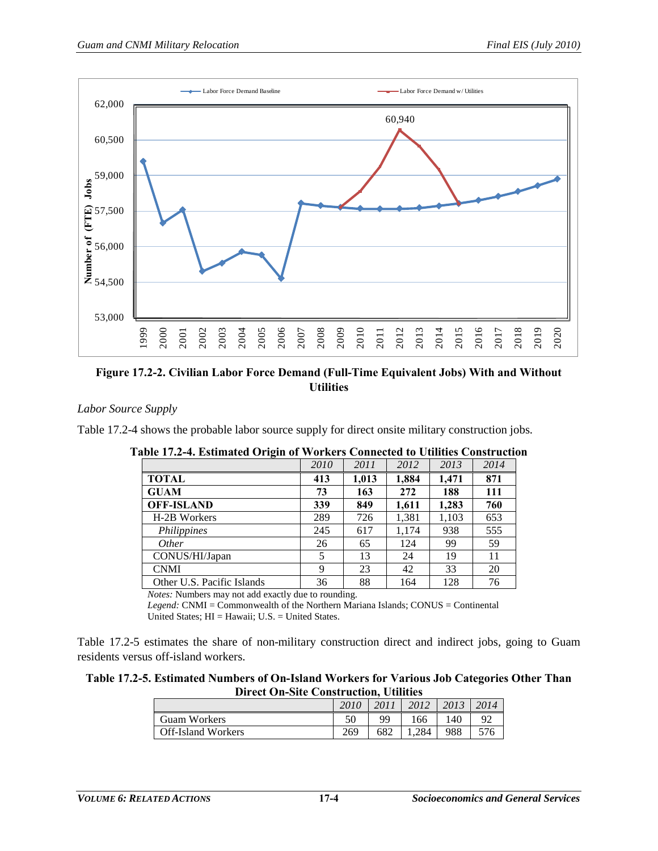

<span id="page-3-0"></span>**Figure 17.2-2. Civilian Labor Force Demand (Full-Time Equivalent Jobs) With and Without Utilities**

#### *Labor Source Supply*

<span id="page-3-1"></span>[Table 17.2-4](#page-3-1) shows the probable labor source supply for direct onsite military construction jobs.

| -9-                        | 2010 | 2011  | 2012  | 2013  | 2014 |
|----------------------------|------|-------|-------|-------|------|
| <b>TOTAL</b>               | 413  | 1,013 | 1,884 | 1,471 | 871  |
| <b>GUAM</b>                | 73   | 163   | 272   | 188   | 111  |
| <b>OFF-ISLAND</b>          | 339  | 849   | 1,611 | 1,283 | 760  |
| H-2B Workers               | 289  | 726   | 1,381 | 1,103 | 653  |
| Philippines                | 245  | 617   | 1,174 | 938   | 555  |
| <i>Other</i>               | 26   | 65    | 124   | 99    | 59   |
| CONUS/HI/Japan             | 5    | 13    | 24    | 19    | 11   |
| <b>CNMI</b>                | 9    | 23    | 42    | 33    | 20   |
| Other U.S. Pacific Islands | 36   | 88    | 164   | 128   | 76   |

**Table 17.2-4. Estimated Origin of Workers Connected to Utilities Construction**

*Notes:* Numbers may not add exactly due to rounding.

*Legend:* CNMI = Commonwealth of the Northern Mariana Islands; CONUS = Continental United States; HI = Hawaii; U.S. = United States.

[Table 17.2-5](#page-3-2) estimates the share of non-military construction direct and indirect jobs, going to Guam residents versus off-island workers.

#### <span id="page-3-2"></span>**Table 17.2-5. Estimated Numbers of On-Island Workers for Various Job Categories Other Than Direct On-Site Construction, Utilities**

|                           | 2010 | 2011 | 2012  | 2013 | 2014 |
|---------------------------|------|------|-------|------|------|
| <b>Guam Workers</b>       |      | 99   | 166   | .40  | 92   |
| <b>Off-Island Workers</b> | 269  | 682  | 1.284 | 988  | 576  |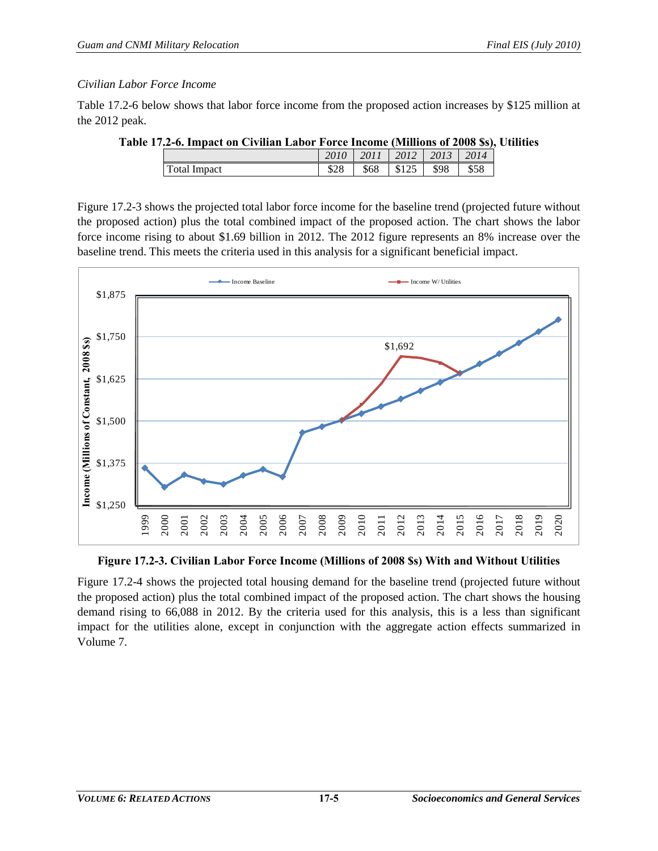# *Civilian Labor Force Income*

<span id="page-4-0"></span>[Table 17.2-6](#page-4-0) below shows that labor force income from the proposed action increases by \$125 million at the 2012 peak.

| Table 17.2-6. Impact on Civilian Labor Force Income (Millions of 2008 \$s), Utilities |  |  |  |
|---------------------------------------------------------------------------------------|--|--|--|
|                                                                                       |  |  |  |

|              | 2010 | 2011 | 2012   2013 |      | 2014 |
|--------------|------|------|-------------|------|------|
| Total Impact |      | \$68 | \$125       | \$98 | \$58 |

[Figure 17.2-3](#page-4-1) shows the projected total labor force income for the baseline trend (projected future without the proposed action) plus the total combined impact of the proposed action. The chart shows the labor force income rising to about \$1.69 billion in 2012. The 2012 figure represents an 8% increase over the baseline trend. This meets the criteria used in this analysis for a significant beneficial impact.



**Figure 17.2-3. Civilian Labor Force Income (Millions of 2008 \$s) With and Without Utilities** 

<span id="page-4-1"></span>[Figure 17.2-4](#page-5-0) shows the projected total housing demand for the baseline trend (projected future without the proposed action) plus the total combined impact of the proposed action. The chart shows the housing demand rising to 66,088 in 2012. By the criteria used for this analysis, this is a less than significant impact for the utilities alone, except in conjunction with the aggregate action effects summarized in Volume 7.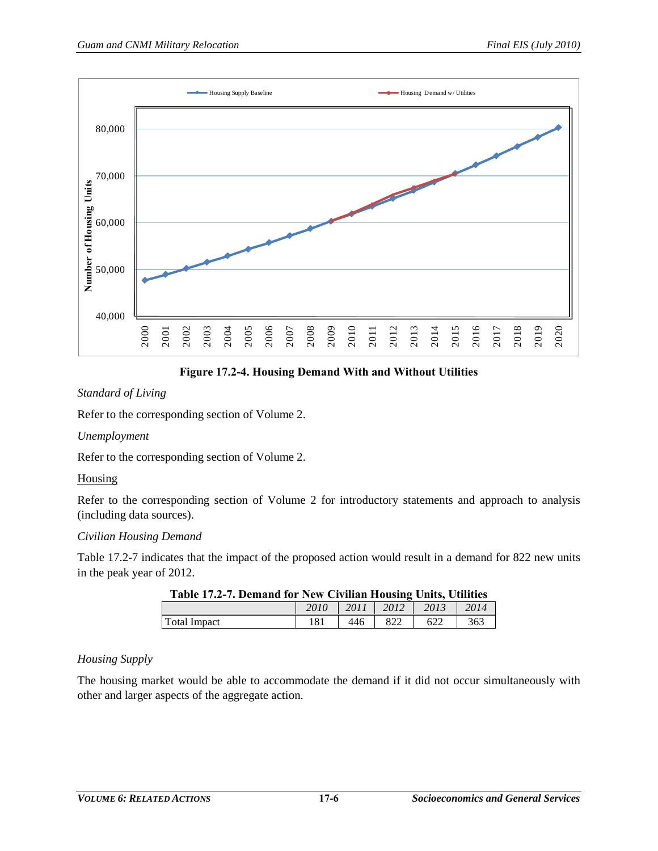

**Figure 17.2-4. Housing Demand With and Without Utilities**

# <span id="page-5-0"></span>*Standard of Living*

Refer to the corresponding section of Volume 2.

# *Unemployment*

Refer to the corresponding section of Volume 2.

# **Housing**

Refer to the corresponding section of Volume 2 for introductory statements and approach to analysis (including data sources).

# *Civilian Housing Demand*

<span id="page-5-1"></span>[Table 17.2-7](#page-5-1) indicates that the impact of the proposed action would result in a demand for 822 new units in the peak year of 2012.

| Lable 17.2-7. Demand for New Civilian Housing Units, Utilities |      |      |      |      |      |  |  |  |
|----------------------------------------------------------------|------|------|------|------|------|--|--|--|
|                                                                | 2010 | 2011 | 2012 | 2013 | 2014 |  |  |  |
| Total Impact                                                   |      | 446  |      | 622  | 363  |  |  |  |

# **Table 17.2-7. Demand for New Civilian Housing Units, Utilities**

# *Housing Supply*

The housing market would be able to accommodate the demand if it did not occur simultaneously with other and larger aspects of the aggregate action.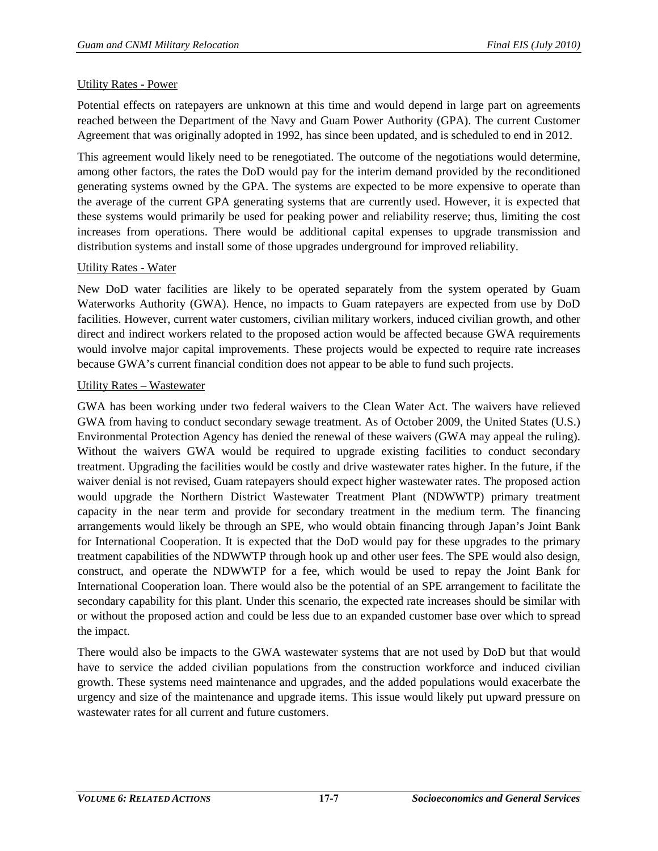## Utility Rates - Power

Potential effects on ratepayers are unknown at this time and would depend in large part on agreements reached between the Department of the Navy and Guam Power Authority (GPA). The current Customer Agreement that was originally adopted in 1992, has since been updated, and is scheduled to end in 2012.

This agreement would likely need to be renegotiated. The outcome of the negotiations would determine, among other factors, the rates the DoD would pay for the interim demand provided by the reconditioned generating systems owned by the GPA. The systems are expected to be more expensive to operate than the average of the current GPA generating systems that are currently used. However, it is expected that these systems would primarily be used for peaking power and reliability reserve; thus, limiting the cost increases from operations. There would be additional capital expenses to upgrade transmission and distribution systems and install some of those upgrades underground for improved reliability.

# Utility Rates - Water

New DoD water facilities are likely to be operated separately from the system operated by Guam Waterworks Authority (GWA). Hence, no impacts to Guam ratepayers are expected from use by DoD facilities. However, current water customers, civilian military workers, induced civilian growth, and other direct and indirect workers related to the proposed action would be affected because GWA requirements would involve major capital improvements. These projects would be expected to require rate increases because GWA's current financial condition does not appear to be able to fund such projects.

### Utility Rates – Wastewater

GWA has been working under two federal waivers to the Clean Water Act. The waivers have relieved GWA from having to conduct secondary sewage treatment. As of October 2009, the United States (U.S.) Environmental Protection Agency has denied the renewal of these waivers (GWA may appeal the ruling). Without the waivers GWA would be required to upgrade existing facilities to conduct secondary treatment. Upgrading the facilities would be costly and drive wastewater rates higher. In the future, if the waiver denial is not revised, Guam ratepayers should expect higher wastewater rates. The proposed action would upgrade the Northern District Wastewater Treatment Plant (NDWWTP) primary treatment capacity in the near term and provide for secondary treatment in the medium term. The financing arrangements would likely be through an SPE, who would obtain financing through Japan's Joint Bank for International Cooperation. It is expected that the DoD would pay for these upgrades to the primary treatment capabilities of the NDWWTP through hook up and other user fees. The SPE would also design, construct, and operate the NDWWTP for a fee, which would be used to repay the Joint Bank for International Cooperation loan. There would also be the potential of an SPE arrangement to facilitate the secondary capability for this plant. Under this scenario, the expected rate increases should be similar with or without the proposed action and could be less due to an expanded customer base over which to spread the impact.

There would also be impacts to the GWA wastewater systems that are not used by DoD but that would have to service the added civilian populations from the construction workforce and induced civilian growth. These systems need maintenance and upgrades, and the added populations would exacerbate the urgency and size of the maintenance and upgrade items. This issue would likely put upward pressure on wastewater rates for all current and future customers.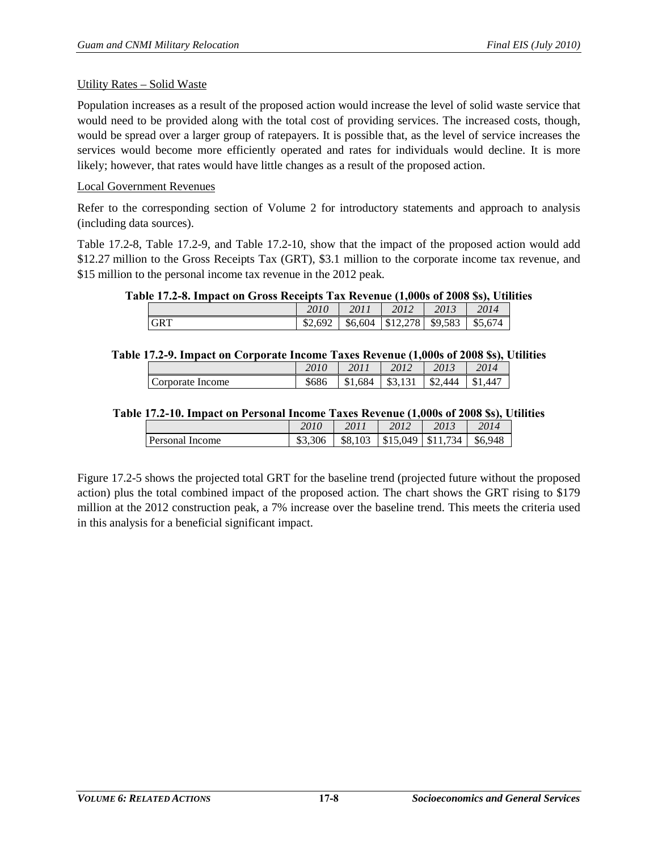### Utility Rates – Solid Waste

Population increases as a result of the proposed action would increase the level of solid waste service that would need to be provided along with the total cost of providing services. The increased costs, though, would be spread over a larger group of ratepayers. It is possible that, as the level of service increases the services would become more efficiently operated and rates for individuals would decline. It is more likely; however, that rates would have little changes as a result of the proposed action.

# Local Government Revenues

Refer to the corresponding section of Volume 2 for introductory statements and approach to analysis (including data sources).

[Table 17.2-8,](#page-7-0) [Table 17.2-9,](#page-7-1) and [Table 17.2-10,](#page-7-2) show that the impact of the proposed action would add \$12.27 million to the Gross Receipts Tax (GRT), \$3.1 million to the corporate income tax revenue, and \$15 million to the personal income tax revenue in the 2012 peak.

# <span id="page-7-0"></span>**Table 17.2-8. Impact on Gross Receipts Tax Revenue (1,000s of 2008 \$s), Utilities**

|            | 2010          |         | 2012     | 2013         | 2014    |
|------------|---------------|---------|----------|--------------|---------|
| <b>GRT</b> | 692<br>\$2,69 | \$6,604 | \$12.278 | .583<br>\$9. | \$5,674 |

# <span id="page-7-1"></span>**Table 17.2-9. Impact on Corporate Income Taxes Revenue (1,000s of 2008 \$s), Utilities**

|                  | 2010  |     | 2012<br>2012 |            |       |
|------------------|-------|-----|--------------|------------|-------|
| Corporate Income | \$686 | 684 | ሰሳ<br>35. J  | 444<br>.እ∠ | $44-$ |

### <span id="page-7-2"></span>**Table 17.2-10. Impact on Personal Income Taxes Revenue (1,000s of 2008 \$s), Utilities**

|                 | 2010    | 2011         | 2012     | 2013 | 2014         |
|-----------------|---------|--------------|----------|------|--------------|
| Personal Income | \$3,306 | 103<br>\$8,1 | \$15,049 | 734  | .948<br>\$6. |

[Figure 17.2-5](#page-8-0) shows the projected total GRT for the baseline trend (projected future without the proposed action) plus the total combined impact of the proposed action. The chart shows the GRT rising to \$179 million at the 2012 construction peak, a 7% increase over the baseline trend. This meets the criteria used in this analysis for a beneficial significant impact.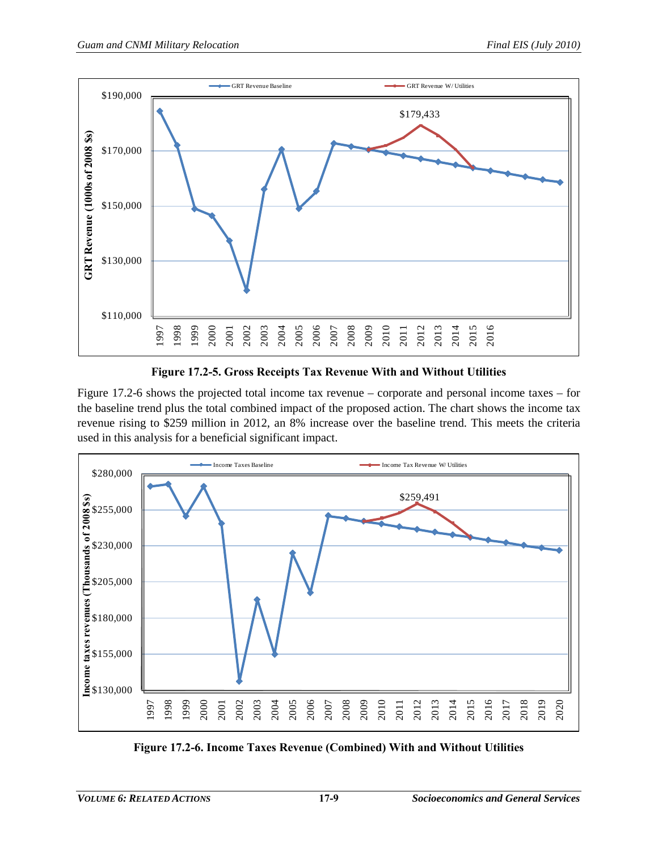

**Figure 17.2-5. Gross Receipts Tax Revenue With and Without Utilities**

<span id="page-8-0"></span>[Figure 17.2-6](#page-8-1) shows the projected total income tax revenue – corporate and personal income taxes – for the baseline trend plus the total combined impact of the proposed action. The chart shows the income tax revenue rising to \$259 million in 2012, an 8% increase over the baseline trend. This meets the criteria used in this analysis for a beneficial significant impact.



<span id="page-8-1"></span>**Figure 17.2-6. Income Taxes Revenue (Combined) With and Without Utilities**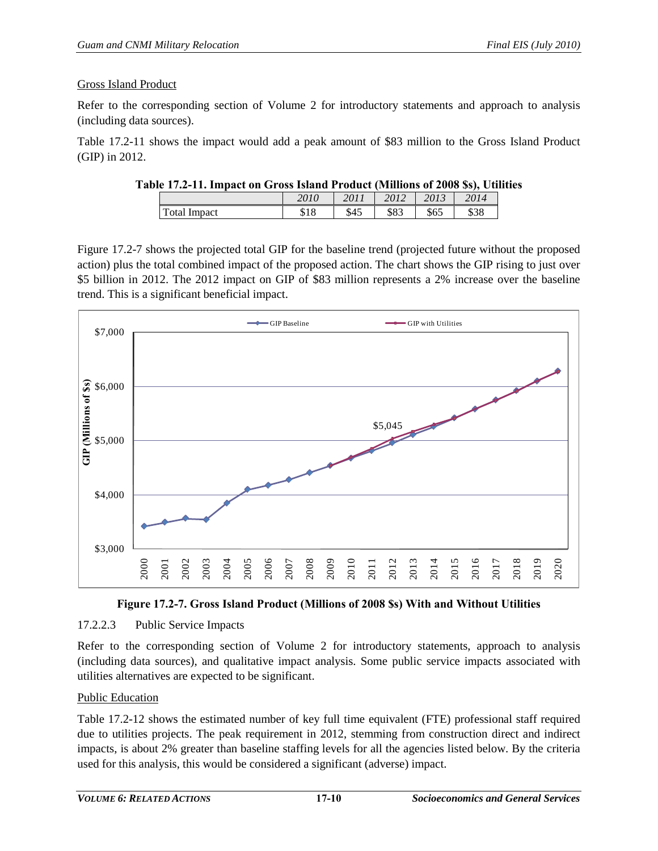## Gross Island Product

Refer to the corresponding section of Volume 2 for introductory statements and approach to analysis (including data sources).

<span id="page-9-0"></span>[Table 17.2-11](#page-9-0) shows the impact would add a peak amount of \$83 million to the Gross Island Product (GIP) in 2012.

| Table 17.2-11. Impact on Gross Island Product (Millions of 2008 \$s), Utilities |      |                           |  |  |
|---------------------------------------------------------------------------------|------|---------------------------|--|--|
|                                                                                 | 2010 | 2011   2012   2013   2014 |  |  |

| m<br>Impact<br>otai<br>J 10 | ሖ<br>J4J | ቀርረ<br>കാ | $\sim$ $\sim$<br>ახა | \$38 |
|-----------------------------|----------|-----------|----------------------|------|

[Figure 17.2-7](#page-9-1) shows the projected total GIP for the baseline trend (projected future without the proposed action) plus the total combined impact of the proposed action. The chart shows the GIP rising to just over \$5 billion in 2012. The 2012 impact on GIP of \$83 million represents a 2% increase over the baseline trend. This is a significant beneficial impact.



**Figure 17.2-7. Gross Island Product (Millions of 2008 \$s) With and Without Utilities** 

# <span id="page-9-1"></span>17.2.2.3 Public Service Impacts

Refer to the corresponding section of Volume 2 for introductory statements, approach to analysis (including data sources), and qualitative impact analysis. Some public service impacts associated with utilities alternatives are expected to be significant.

# Public Education

[Table 17.2-12](#page-10-0) shows the estimated number of key full time equivalent (FTE) professional staff required due to utilities projects. The peak requirement in 2012, stemming from construction direct and indirect impacts, is about 2% greater than baseline staffing levels for all the agencies listed below. By the criteria used for this analysis, this would be considered a significant (adverse) impact.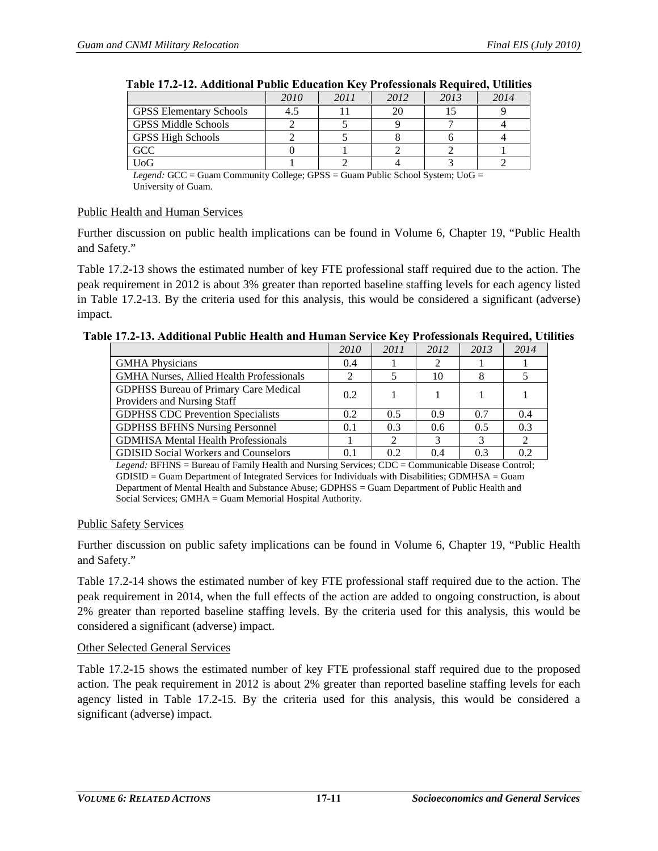<span id="page-10-0"></span>

|                                | 2010 | 2011 | 2012 | 2013 | 2014 |  |  |
|--------------------------------|------|------|------|------|------|--|--|
| <b>GPSS Elementary Schools</b> |      |      | 20   |      |      |  |  |
| <b>GPSS Middle Schools</b>     |      |      |      |      |      |  |  |
| <b>GPSS High Schools</b>       |      |      |      |      |      |  |  |
| <b>GCC</b>                     |      |      |      |      |      |  |  |
| UoG                            |      |      |      |      |      |  |  |

| Table 17.2-12. Additional Public Education Key Professionals Required, Utilities |  |  |
|----------------------------------------------------------------------------------|--|--|
|----------------------------------------------------------------------------------|--|--|

*Legend:* GCC = Guam Community College; GPSS = Guam Public School System; UoG = University of Guam.

#### Public Health and Human Services

Further discussion on public health implications can be found in Volume 6, Chapter 19, "Public Health and Safety."

[Table 17.2-13](#page-10-1) shows the estimated number of key FTE professional staff required due to the action. The peak requirement in 2012 is about 3% greater than reported baseline staffing levels for each agency listed in [Table 17.2-13.](#page-10-1) By the criteria used for this analysis, this would be considered a significant (adverse) impact.

<span id="page-10-1"></span>

| Table 17.2-13. Additional Public Health and Human Service Key Professionals Required, Utilities |
|-------------------------------------------------------------------------------------------------|
|-------------------------------------------------------------------------------------------------|

|                                                                                                           | 2010          | 2011 | 2012 | 2013 | 2014 |
|-----------------------------------------------------------------------------------------------------------|---------------|------|------|------|------|
| <b>GMHA</b> Physicians                                                                                    | 0.4           |      | 2    |      |      |
| <b>GMHA Nurses, Allied Health Professionals</b>                                                           |               |      | 10   |      |      |
| <b>GDPHSS Bureau of Primary Care Medical</b>                                                              | 0.2           |      |      |      |      |
| Providers and Nursing Staff                                                                               |               |      |      |      |      |
| <b>GDPHSS CDC Prevention Specialists</b>                                                                  | $0.2^{\circ}$ | 0.5  | 0.9  | 0.7  | 0.4  |
| <b>GDPHSS BFHNS Nursing Personnel</b>                                                                     | 0.1           | 0.3  | 0.6  | 0.5  | 0.3  |
| <b>GDMHSA Mental Health Professionals</b>                                                                 |               | 2    | 3    | 3    |      |
| <b>GDISID Social Workers and Counselors</b>                                                               | 0.1           | 0.2  | 0.4  | 0.3  | 0.2  |
| <i>Legend</i> : REHNS – Rureau of Eamily Health and Nursing Services: CDC – Communicable Disease Control: |               |      |      |      |      |

*Legend:* BFHNS = Bureau of Family Health and Nursing Services; CDC = Communicable Disease Control; GDISID = Guam Department of Integrated Services for Individuals with Disabilities; GDMHSA = Guam Department of Mental Health and Substance Abuse; GDPHSS = Guam Department of Public Health and Social Services; GMHA = Guam Memorial Hospital Authority.

#### Public Safety Services

Further discussion on public safety implications can be found in Volume 6, Chapter 19, "Public Health and Safety."

[Table 17.2-14](#page-11-0) shows the estimated number of key FTE professional staff required due to the action. The peak requirement in 2014, when the full effects of the action are added to ongoing construction, is about 2% greater than reported baseline staffing levels. By the criteria used for this analysis, this would be considered a significant (adverse) impact.

#### Other Selected General Services

[Table 17.2-15](#page-11-1) shows the estimated number of key FTE professional staff required due to the proposed action. The peak requirement in 2012 is about 2% greater than reported baseline staffing levels for each agency listed in [Table 17.2-15.](#page-11-1) By the criteria used for this analysis, this would be considered a significant (adverse) impact.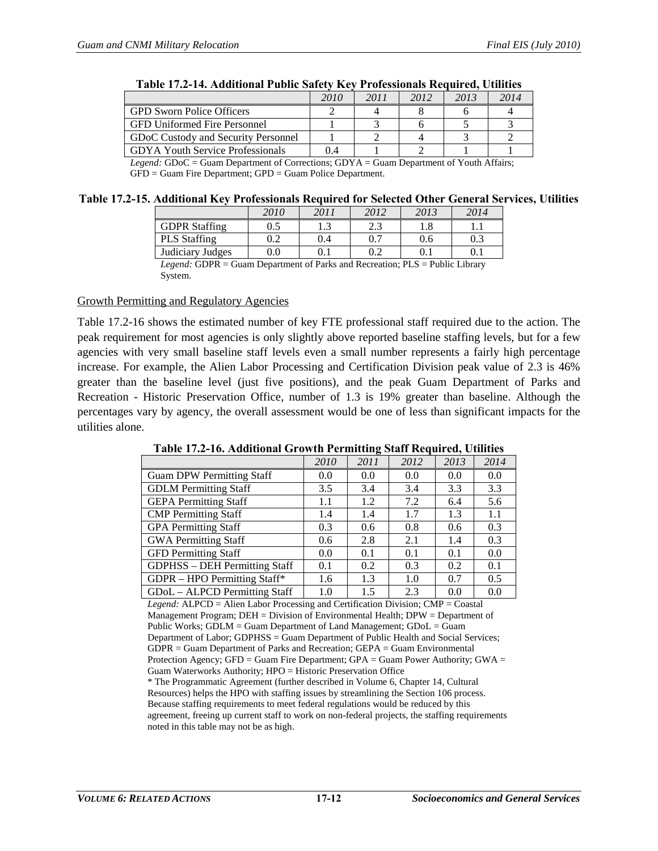<span id="page-11-0"></span>

|                                         | 2010      | 2011 | 2012 | 2013    | 2014 |
|-----------------------------------------|-----------|------|------|---------|------|
| <b>GPD Sworn Police Officers</b>        |           |      |      |         |      |
| <b>GFD Uniformed Fire Personnel</b>     |           |      |      |         |      |
| GDoC Custody and Security Personnel     |           |      |      |         |      |
| <b>GDYA Youth Service Professionals</b> | 0.4       |      |      |         |      |
| - -                                     | $-1$ $-1$ |      | $-$  | $- - -$ | .    |

|  | Table 17.2-14. Additional Public Safety Key Professionals Required, Utilities |
|--|-------------------------------------------------------------------------------|
|--|-------------------------------------------------------------------------------|

*Legend:* GDoC = Guam Department of Corrections; GDYA = Guam Department of Youth Affairs; GFD = Guam Fire Department; GPD = Guam Police Department.

#### <span id="page-11-1"></span>**Table 17.2-15. Additional Key Professionals Required for Selected Other General Services, Utilities**

|                               | 2010    | 2011      | 2012                  | 2013                 | 2014      |
|-------------------------------|---------|-----------|-----------------------|----------------------|-----------|
| <b>GDPR</b> Staffing          |         | 1.J       | $\sim$ $\sim$<br>ر. ک | 1.8                  |           |
| <b>PLS</b> Staffing           |         | 0.4       | 0.7                   | 0.6                  | 0.3       |
| Judiciary Judges              | $0.0\,$ | $\rm 0.1$ | ∩ำ<br>∪.∠             | V. I                 | $\rm 0.1$ |
| - - - - -<br>$\sim$<br>$\sim$ | $-$     | $ -$      | $-$                   | _ _ _ _ _ _ _<br>___ |           |

*Legend:* GDPR = Guam Department of Parks and Recreation; PLS = Public Library System.

#### Growth Permitting and Regulatory Agencies

[Table 17.2-16](#page-11-2) shows the estimated number of key FTE professional staff required due to the action. The peak requirement for most agencies is only slightly above reported baseline staffing levels, but for a few agencies with very small baseline staff levels even a small number represents a fairly high percentage increase. For example, the Alien Labor Processing and Certification Division peak value of 2.3 is 46% greater than the baseline level (just five positions), and the peak Guam Department of Parks and Recreation - Historic Preservation Office, number of 1.3 is 19% greater than baseline. Although the percentages vary by agency, the overall assessment would be one of less than significant impacts for the utilities alone.

**Table 17.2-16. Additional Growth Permitting Staff Required, Utilities**

<span id="page-11-2"></span>

|                                      | 2010 | 2011          | 2012 | 2013 | 2014 |
|--------------------------------------|------|---------------|------|------|------|
| <b>Guam DPW Permitting Staff</b>     | 0.0  | 0.0           | 0.0  | 0.0  | 0.0  |
| <b>GDLM</b> Permitting Staff         | 3.5  | 3.4           | 3.4  | 3.3  | 3.3  |
| <b>GEPA Permitting Staff</b>         | 1.1  | 1.2           | 7.2  | 6.4  | 5.6  |
| <b>CMP</b> Permitting Staff          | 1.4  | 1.4           | 1.7  | 1.3  | 1.1  |
| <b>GPA</b> Permitting Staff          | 0.3  | 0.6           | 0.8  | 0.6  | 0.3  |
| <b>GWA Permitting Staff</b>          | 0.6  | 2.8           | 2.1  | 1.4  | 0.3  |
| <b>GFD</b> Permitting Staff          | 0.0  | 0.1           | 0.1  | 0.1  | 0.0  |
| <b>GDPHSS</b> – DEH Permitting Staff | 0.1  | $0.2^{\circ}$ | 0.3  | 0.2  | 0.1  |
| GDPR - HPO Permitting Staff*         | 1.6  | 1.3           | 1.0  | 0.7  | 0.5  |
| GDoL - ALPCD Permitting Staff        | 1.0  | 1.5           | 2.3  | 0.0  | 0.0  |

*Legend:* ALPCD = Alien Labor Processing and Certification Division; CMP = Coastal Management Program; DEH = Division of Environmental Health; DPW = Department of Public Works; GDLM = Guam Department of Land Management; GDoL = Guam Department of Labor; GDPHSS = Guam Department of Public Health and Social Services; GDPR = Guam Department of Parks and Recreation; GEPA = Guam Environmental Protection Agency; GFD = Guam Fire Department; GPA = Guam Power Authority; GWA = Guam Waterworks Authority; HPO = Historic Preservation Office \* The Programmatic Agreement (further described in Volume 6, Chapter 14, Cultural

Resources) helps the HPO with staffing issues by streamlining the Section 106 process. Because staffing requirements to meet federal regulations would be reduced by this agreement, freeing up current staff to work on non-federal projects, the staffing requirements noted in this table may not be as high.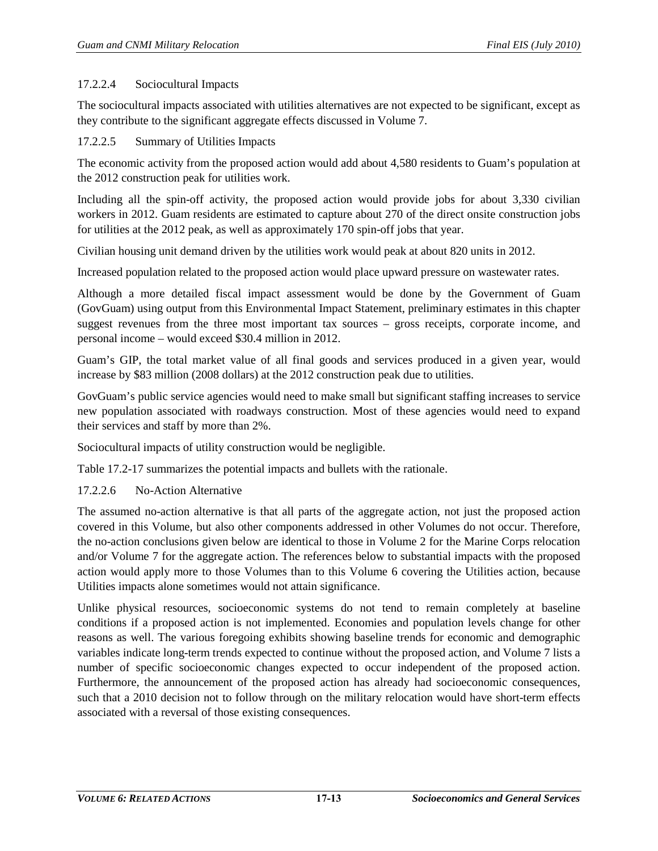# 17.2.2.4 Sociocultural Impacts

The sociocultural impacts associated with utilities alternatives are not expected to be significant, except as they contribute to the significant aggregate effects discussed in Volume 7.

## 17.2.2.5 Summary of Utilities Impacts

The economic activity from the proposed action would add about 4,580 residents to Guam's population at the 2012 construction peak for utilities work.

Including all the spin-off activity, the proposed action would provide jobs for about 3,330 civilian workers in 2012. Guam residents are estimated to capture about 270 of the direct onsite construction jobs for utilities at the 2012 peak, as well as approximately 170 spin-off jobs that year.

Civilian housing unit demand driven by the utilities work would peak at about 820 units in 2012.

Increased population related to the proposed action would place upward pressure on wastewater rates.

Although a more detailed fiscal impact assessment would be done by the Government of Guam (GovGuam) using output from this Environmental Impact Statement, preliminary estimates in this chapter suggest revenues from the three most important tax sources – gross receipts, corporate income, and personal income – would exceed \$30.4 million in 2012.

Guam's GIP, the total [market value](http://www.investorwords.com/2994/market_value.html) of all final [goods](http://www.investorwords.com/2209/goods.html) and [services](http://www.investorwords.com/6664/service.html) produced in a given year, would increase by \$83 million (2008 dollars) at the 2012 construction peak due to utilities.

GovGuam's public service agencies would need to make small but significant staffing increases to service new population associated with roadways construction. Most of these agencies would need to expand their services and staff by more than 2%.

Sociocultural impacts of utility construction would be negligible.

[Table 17.2-17](#page-13-0) summarizes the potential impacts and bullets with the rationale.

# <span id="page-12-0"></span>17.2.2.6 No-Action Alternative

The assumed no-action alternative is that all parts of the aggregate action, not just the proposed action covered in this Volume, but also other components addressed in other Volumes do not occur. Therefore, the no-action conclusions given below are identical to those in Volume 2 for the Marine Corps relocation and/or Volume 7 for the aggregate action. The references below to substantial impacts with the proposed action would apply more to those Volumes than to this Volume 6 covering the Utilities action, because Utilities impacts alone sometimes would not attain significance.

Unlike physical resources, socioeconomic systems do not tend to remain completely at baseline conditions if a proposed action is not implemented. Economies and population levels change for other reasons as well. The various foregoing exhibits showing baseline trends for economic and demographic variables indicate long-term trends expected to continue without the proposed action, and Volume 7 lists a number of specific socioeconomic changes expected to occur independent of the proposed action. Furthermore, the announcement of the proposed action has already had socioeconomic consequences, such that a 2010 decision not to follow through on the military relocation would have short-term effects associated with a reversal of those existing consequences.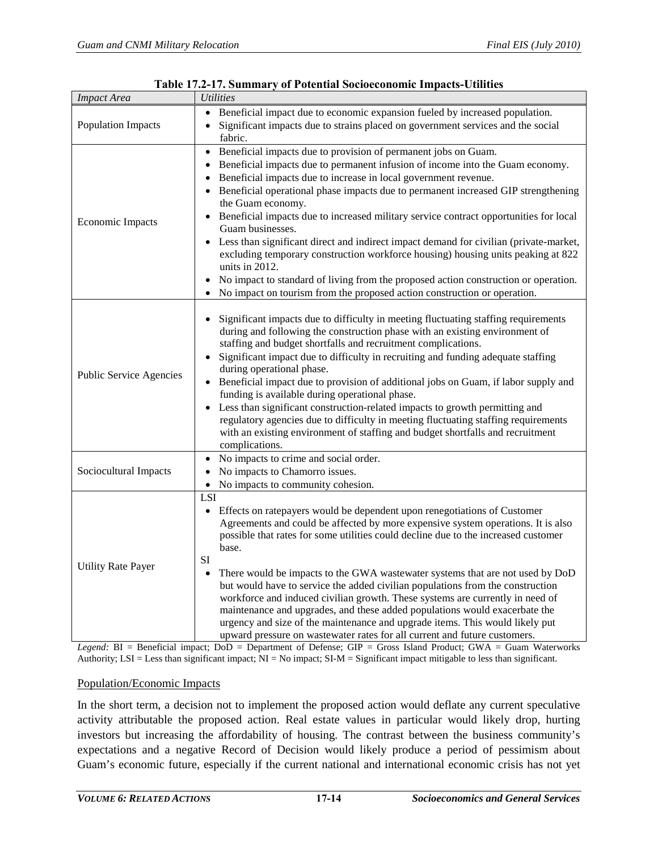<span id="page-13-0"></span>

| <b>Impact Area</b>        | <b>Utilities</b>                                                                                                                                                                                                                                                                                                                                                                                                                                                                                                                                                                                                                                                                                                                                                                                                                              |
|---------------------------|-----------------------------------------------------------------------------------------------------------------------------------------------------------------------------------------------------------------------------------------------------------------------------------------------------------------------------------------------------------------------------------------------------------------------------------------------------------------------------------------------------------------------------------------------------------------------------------------------------------------------------------------------------------------------------------------------------------------------------------------------------------------------------------------------------------------------------------------------|
| <b>Population Impacts</b> | Beneficial impact due to economic expansion fueled by increased population.<br>Significant impacts due to strains placed on government services and the social<br>fabric.                                                                                                                                                                                                                                                                                                                                                                                                                                                                                                                                                                                                                                                                     |
| <b>Economic Impacts</b>   | Beneficial impacts due to provision of permanent jobs on Guam.<br>$\bullet$<br>Beneficial impacts due to permanent infusion of income into the Guam economy.<br>Beneficial impacts due to increase in local government revenue.<br>Beneficial operational phase impacts due to permanent increased GIP strengthening<br>the Guam economy.<br>Beneficial impacts due to increased military service contract opportunities for local<br>Guam businesses.<br>Less than significant direct and indirect impact demand for civilian (private-market,<br>excluding temporary construction workforce housing) housing units peaking at 822<br>units in $2012$ .<br>No impact to standard of living from the proposed action construction or operation.<br>$\bullet$<br>No impact on tourism from the proposed action construction or operation.<br>٠ |
| Public Service Agencies   | Significant impacts due to difficulty in meeting fluctuating staffing requirements<br>during and following the construction phase with an existing environment of<br>staffing and budget shortfalls and recruitment complications.<br>Significant impact due to difficulty in recruiting and funding adequate staffing<br>$\bullet$<br>during operational phase.<br>Beneficial impact due to provision of additional jobs on Guam, if labor supply and<br>funding is available during operational phase.<br>Less than significant construction-related impacts to growth permitting and<br>regulatory agencies due to difficulty in meeting fluctuating staffing requirements<br>with an existing environment of staffing and budget shortfalls and recruitment<br>complications.                                                             |
| Sociocultural Impacts     | No impacts to crime and social order.<br>٠<br>No impacts to Chamorro issues.<br>٠<br>No impacts to community cohesion.<br>$\bullet$                                                                                                                                                                                                                                                                                                                                                                                                                                                                                                                                                                                                                                                                                                           |
| <b>Utility Rate Payer</b> | LSI<br>• Effects on ratepayers would be dependent upon renegotiations of Customer<br>Agreements and could be affected by more expensive system operations. It is also<br>possible that rates for some utilities could decline due to the increased customer<br>base.<br>SI<br>There would be impacts to the GWA wastewater systems that are not used by DoD<br>$\bullet$<br>but would have to service the added civilian populations from the construction<br>workforce and induced civilian growth. These systems are currently in need of<br>maintenance and upgrades, and these added populations would exacerbate the<br>urgency and size of the maintenance and upgrade items. This would likely put<br>upward pressure on wastewater rates for all current and future customers.                                                        |

| <b>Table 17.2-17. Summary of Potential Socioeconomic Impacts-Utilities</b> |  |  |  |
|----------------------------------------------------------------------------|--|--|--|
|----------------------------------------------------------------------------|--|--|--|

*Legend:* BI = Beneficial impact; DoD = Department of Defense; GIP = Gross Island Product; GWA = Guam Waterworks Authority;  $LSI = Less than significant impact; NI = No impact; SI-M = Significant impact mixed$  impact;  $SI-M = Significant impact$  mitigable to less than significant.

#### Population/Economic Impacts

In the short term, a decision not to implement the proposed action would deflate any current speculative activity attributable the proposed action. Real estate values in particular would likely drop, hurting investors but increasing the affordability of housing. The contrast between the business community's expectations and a negative Record of Decision would likely produce a period of pessimism about Guam's economic future, especially if the current national and international economic crisis has not yet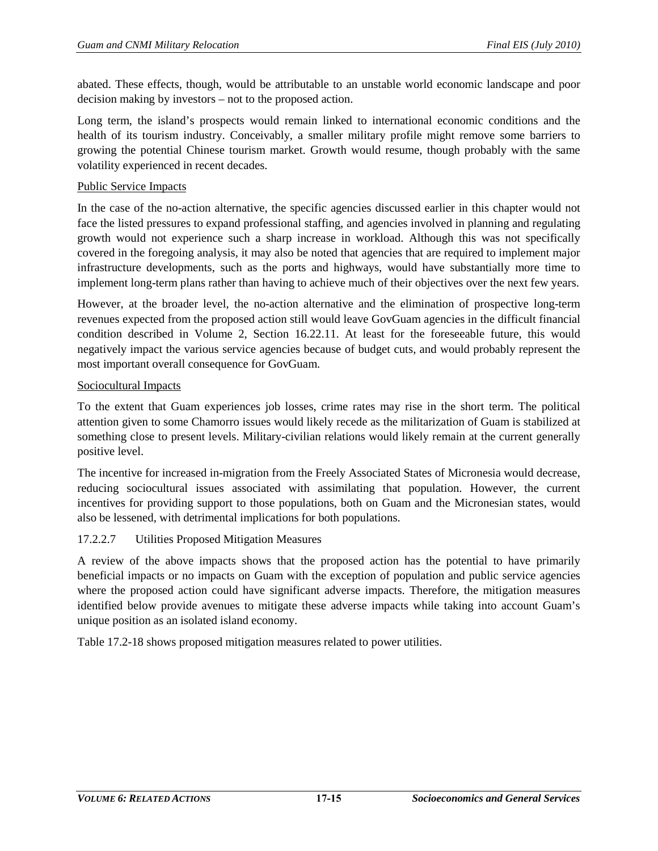abated. These effects, though, would be attributable to an unstable world economic landscape and poor decision making by investors – not to the proposed action.

Long term, the island's prospects would remain linked to international economic conditions and the health of its tourism industry. Conceivably, a smaller military profile might remove some barriers to growing the potential Chinese tourism market. Growth would resume, though probably with the same volatility experienced in recent decades.

### Public Service Impacts

In the case of the no-action alternative, the specific agencies discussed earlier in this chapter would not face the listed pressures to expand professional staffing, and agencies involved in planning and regulating growth would not experience such a sharp increase in workload. Although this was not specifically covered in the foregoing analysis, it may also be noted that agencies that are required to implement major infrastructure developments, such as the ports and highways, would have substantially more time to implement long-term plans rather than having to achieve much of their objectives over the next few years.

However, at the broader level, the no-action alternative and the elimination of prospective long-term revenues expected from the proposed action still would leave GovGuam agencies in the difficult financial condition described in Volume 2, Section 16.22.11. At least for the foreseeable future, this would negatively impact the various service agencies because of budget cuts, and would probably represent the most important overall consequence for GovGuam.

# Sociocultural Impacts

To the extent that Guam experiences job losses, crime rates may rise in the short term. The political attention given to some Chamorro issues would likely recede as the militarization of Guam is stabilized at something close to present levels. Military-civilian relations would likely remain at the current generally positive level.

The incentive for increased in-migration from the Freely Associated States of Micronesia would decrease, reducing sociocultural issues associated with assimilating that population. However, the current incentives for providing support to those populations, both on Guam and the Micronesian states, would also be lessened, with detrimental implications for both populations.

# 17.2.2.7 Utilities Proposed Mitigation Measures

A review of the above impacts shows that the proposed action has the potential to have primarily beneficial impacts or no impacts on Guam with the exception of population and public service agencies where the proposed action could have significant adverse impacts. Therefore, the mitigation measures identified below provide avenues to mitigate these adverse impacts while taking into account Guam's unique position as an isolated island economy.

[Table 17.2-18](#page-15-0) shows proposed mitigation measures related to power utilities.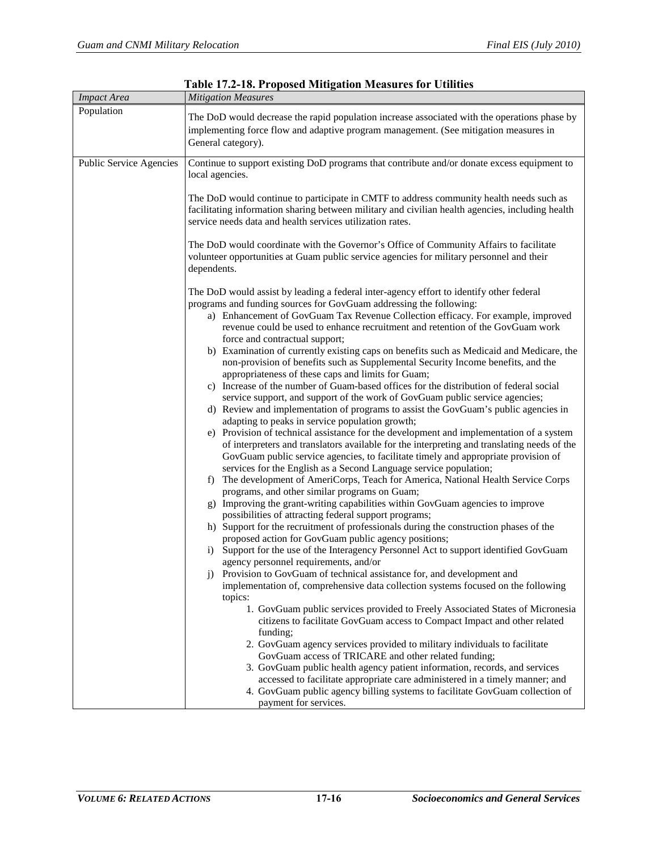<span id="page-15-0"></span>

| <b>Impact Area</b>      | radio 17.2 ro. 11 oposod mnugation moasures for cumues<br><b>Mitigation Measures</b>                                                                                                                                                                                                                                                                                                                                                                                                                                                                                                                                                                                                                                                                                                                                                                                                                                                                                                                                                                                                                                                                                                                                                                                                                                                                                                                                                                                                                                                                                                                                                                                                                                                                                                                                                                                                                                                                                                                                                                                                                                                                                                                                                                  |  |  |  |  |
|-------------------------|-------------------------------------------------------------------------------------------------------------------------------------------------------------------------------------------------------------------------------------------------------------------------------------------------------------------------------------------------------------------------------------------------------------------------------------------------------------------------------------------------------------------------------------------------------------------------------------------------------------------------------------------------------------------------------------------------------------------------------------------------------------------------------------------------------------------------------------------------------------------------------------------------------------------------------------------------------------------------------------------------------------------------------------------------------------------------------------------------------------------------------------------------------------------------------------------------------------------------------------------------------------------------------------------------------------------------------------------------------------------------------------------------------------------------------------------------------------------------------------------------------------------------------------------------------------------------------------------------------------------------------------------------------------------------------------------------------------------------------------------------------------------------------------------------------------------------------------------------------------------------------------------------------------------------------------------------------------------------------------------------------------------------------------------------------------------------------------------------------------------------------------------------------------------------------------------------------------------------------------------------------|--|--|--|--|
| Population              | The DoD would decrease the rapid population increase associated with the operations phase by<br>implementing force flow and adaptive program management. (See mitigation measures in<br>General category).                                                                                                                                                                                                                                                                                                                                                                                                                                                                                                                                                                                                                                                                                                                                                                                                                                                                                                                                                                                                                                                                                                                                                                                                                                                                                                                                                                                                                                                                                                                                                                                                                                                                                                                                                                                                                                                                                                                                                                                                                                            |  |  |  |  |
| Public Service Agencies | Continue to support existing DoD programs that contribute and/or donate excess equipment to<br>local agencies.<br>The DoD would continue to participate in CMTF to address community health needs such as<br>facilitating information sharing between military and civilian health agencies, including health<br>service needs data and health services utilization rates.<br>The DoD would coordinate with the Governor's Office of Community Affairs to facilitate<br>volunteer opportunities at Guam public service agencies for military personnel and their<br>dependents.<br>The DoD would assist by leading a federal inter-agency effort to identify other federal<br>programs and funding sources for GovGuam addressing the following:<br>a) Enhancement of GovGuam Tax Revenue Collection efficacy. For example, improved<br>revenue could be used to enhance recruitment and retention of the GovGuam work<br>force and contractual support;<br>b) Examination of currently existing caps on benefits such as Medicaid and Medicare, the<br>non-provision of benefits such as Supplemental Security Income benefits, and the<br>appropriateness of these caps and limits for Guam;<br>c) Increase of the number of Guam-based offices for the distribution of federal social<br>service support, and support of the work of GovGuam public service agencies;<br>d) Review and implementation of programs to assist the GovGuam's public agencies in<br>adapting to peaks in service population growth;<br>e) Provision of technical assistance for the development and implementation of a system<br>of interpreters and translators available for the interpreting and translating needs of the<br>GovGuam public service agencies, to facilitate timely and appropriate provision of<br>services for the English as a Second Language service population;<br>The development of AmeriCorps, Teach for America, National Health Service Corps<br>f)<br>programs, and other similar programs on Guam;<br>g) Improving the grant-writing capabilities within GovGuam agencies to improve<br>possibilities of attracting federal support programs;<br>h) Support for the recruitment of professionals during the construction phases of the |  |  |  |  |
|                         | proposed action for GovGuam public agency positions;<br>i) Support for the use of the Interagency Personnel Act to support identified GovGuam<br>agency personnel requirements, and/or<br>Provision to GovGuam of technical assistance for, and development and<br>$\mathbf{i}$<br>implementation of, comprehensive data collection systems focused on the following<br>topics:<br>1. GovGuam public services provided to Freely Associated States of Micronesia                                                                                                                                                                                                                                                                                                                                                                                                                                                                                                                                                                                                                                                                                                                                                                                                                                                                                                                                                                                                                                                                                                                                                                                                                                                                                                                                                                                                                                                                                                                                                                                                                                                                                                                                                                                      |  |  |  |  |
|                         | citizens to facilitate GovGuam access to Compact Impact and other related<br>funding;<br>2. GovGuam agency services provided to military individuals to facilitate<br>GovGuam access of TRICARE and other related funding;<br>3. GovGuam public health agency patient information, records, and services<br>accessed to facilitate appropriate care administered in a timely manner; and<br>4. GovGuam public agency billing systems to facilitate GovGuam collection of<br>payment for services.                                                                                                                                                                                                                                                                                                                                                                                                                                                                                                                                                                                                                                                                                                                                                                                                                                                                                                                                                                                                                                                                                                                                                                                                                                                                                                                                                                                                                                                                                                                                                                                                                                                                                                                                                     |  |  |  |  |

**Table 17.2-18. Proposed Mitigation Measures for Utilities**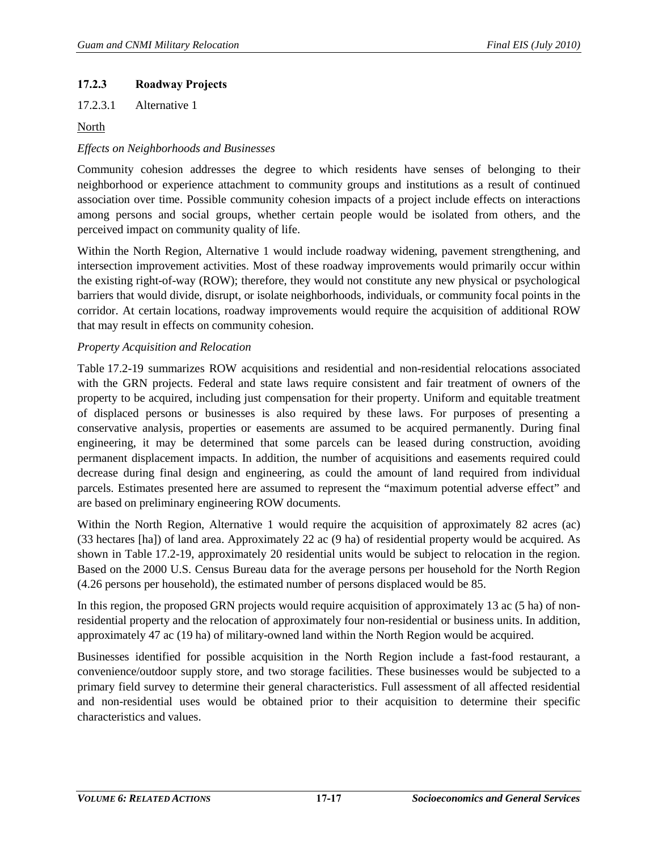# **17.2.3 Roadway Projects**

17.2.3.1 Alternative 1

North

# *Effects on Neighborhoods and Businesses*

Community cohesion addresses the degree to which residents have senses of belonging to their neighborhood or experience attachment to community groups and institutions as a result of continued association over time. Possible community cohesion impacts of a project include effects on interactions among persons and social groups, whether certain people would be isolated from others, and the perceived impact on community quality of life.

Within the North Region, Alternative 1 would include roadway widening, pavement strengthening, and intersection improvement activities. Most of these roadway improvements would primarily occur within the existing right-of-way (ROW); therefore, they would not constitute any new physical or psychological barriers that would divide, disrupt, or isolate neighborhoods, individuals, or community focal points in the corridor. At certain locations, roadway improvements would require the acquisition of additional ROW that may result in effects on community cohesion.

# *Property Acquisition and Relocation*

[Table 17.2-19](#page-17-0) summarizes ROW acquisitions and residential and non-residential relocations associated with the GRN projects. Federal and state laws require consistent and fair treatment of owners of the property to be acquired, including just compensation for their property. Uniform and equitable treatment of displaced persons or businesses is also required by these laws. For purposes of presenting a conservative analysis, properties or easements are assumed to be acquired permanently. During final engineering, it may be determined that some parcels can be leased during construction, avoiding permanent displacement impacts. In addition, the number of acquisitions and easements required could decrease during final design and engineering, as could the amount of land required from individual parcels. Estimates presented here are assumed to represent the "maximum potential adverse effect" and are based on preliminary engineering ROW documents.

Within the North Region, Alternative 1 would require the acquisition of approximately 82 acres (ac) (33 hectares [ha]) of land area. Approximately 22 ac (9 ha) of residential property would be acquired. As shown in [Table 17.2-19,](#page-17-0) approximately 20 residential units would be subject to relocation in the region. Based on the 2000 U.S. Census Bureau data for the average persons per household for the North Region (4.26 persons per household), the estimated number of persons displaced would be 85.

In this region, the proposed GRN projects would require acquisition of approximately 13 ac (5 ha) of nonresidential property and the relocation of approximately four non-residential or business units. In addition, approximately 47 ac (19 ha) of military-owned land within the North Region would be acquired.

Businesses identified for possible acquisition in the North Region include a fast-food restaurant, a convenience/outdoor supply store, and two storage facilities. These businesses would be subjected to a primary field survey to determine their general characteristics. Full assessment of all affected residential and non-residential uses would be obtained prior to their acquisition to determine their specific characteristics and values.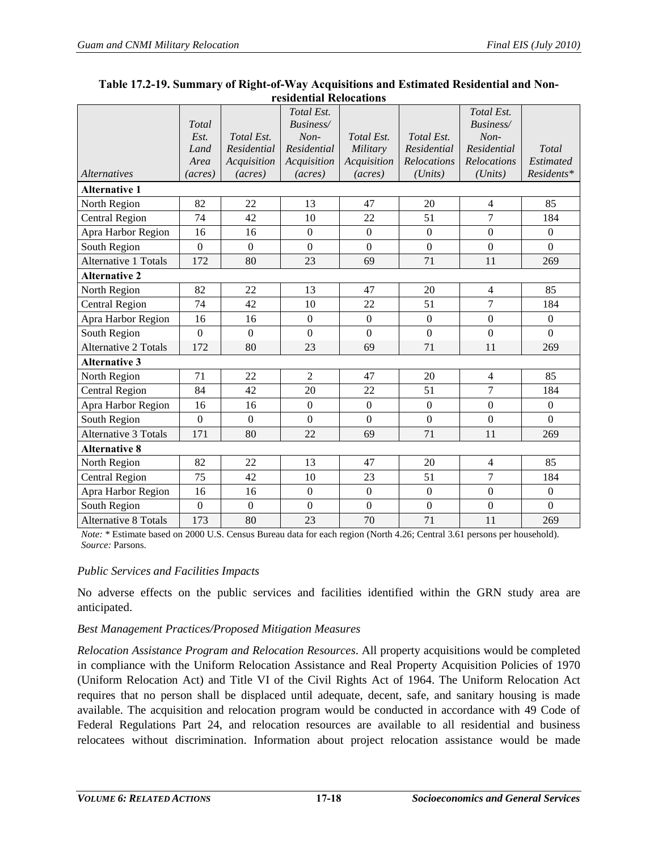|                             |                |                | Total Est.       |                  |                | Total Est.       |                  |
|-----------------------------|----------------|----------------|------------------|------------------|----------------|------------------|------------------|
|                             | Total          |                | Business/        |                  |                | Business/        |                  |
|                             | Est.           | Total Est.     | Non-             | Total Est.       | Total Est.     | Non-             |                  |
|                             | Land           | Residential    | Residential      | Military         | Residential    | Residential      | Total            |
|                             | Area           | Acquisition    | Acquisition      | Acquisition      | Relocations    | Relocations      | Estimated        |
| <i>Alternatives</i>         | (acres)        | (acres)        | (acres)          | (acres)          | (Units)        | (Units)          | Residents*       |
| <b>Alternative 1</b>        |                |                |                  |                  |                |                  |                  |
| North Region                | 82             | 22             | 13               | 47               | 20             | 4                | 85               |
| <b>Central Region</b>       | 74             | 42             | 10               | 22               | 51             | 7                | 184              |
| Apra Harbor Region          | 16             | 16             | $\mathbf{0}$     | $\overline{0}$   | $\overline{0}$ | $\overline{0}$   | $\boldsymbol{0}$ |
| South Region                | $\overline{0}$ | $\overline{0}$ | $\overline{0}$   | $\mathbf{0}$     | $\overline{0}$ | $\overline{0}$   | $\overline{0}$   |
| <b>Alternative 1 Totals</b> | 172            | 80             | 23               | 69               | 71             | 11               | 269              |
| <b>Alternative 2</b>        |                |                |                  |                  |                |                  |                  |
| North Region                | 82             | 22             | 13               | 47               | 20             | $\overline{4}$   | 85               |
| <b>Central Region</b>       | 74             | 42             | 10               | 22               | 51             | $\overline{7}$   | 184              |
| Apra Harbor Region          | 16             | 16             | $\mathbf{0}$     | $\boldsymbol{0}$ | $\mathbf{0}$   | $\boldsymbol{0}$ | $\boldsymbol{0}$ |
| South Region                | $\overline{0}$ | $\mathbf{0}$   | $\overline{0}$   | $\boldsymbol{0}$ | $\mathbf{0}$   | $\boldsymbol{0}$ | $\boldsymbol{0}$ |
| <b>Alternative 2 Totals</b> | 172            | 80             | 23               | 69               | 71             | 11               | 269              |
| <b>Alternative 3</b>        |                |                |                  |                  |                |                  |                  |
| North Region                | 71             | 22             | $\overline{2}$   | 47               | 20             | $\overline{4}$   | 85               |
| <b>Central Region</b>       | 84             | 42             | 20               | 22               | 51             | 7                | 184              |
| Apra Harbor Region          | 16             | 16             | $\mathbf{0}$     | $\boldsymbol{0}$ | $\mathbf{0}$   | $\mathbf{0}$     | $\boldsymbol{0}$ |
| South Region                | $\overline{0}$ | $\mathbf{0}$   | $\boldsymbol{0}$ | $\mathbf{0}$     | $\overline{0}$ | $\boldsymbol{0}$ | $\overline{0}$   |
| <b>Alternative 3 Totals</b> | 171            | 80             | 22               | 69               | 71             | 11               | 269              |
| <b>Alternative 8</b>        |                |                |                  |                  |                |                  |                  |
| North Region                | 82             | 22             | 13               | 47               | 20             | $\overline{4}$   | 85               |
| <b>Central Region</b>       | 75             | 42             | 10               | 23               | 51             | $\overline{7}$   | 184              |
| Apra Harbor Region          | 16             | 16             | $\overline{0}$   | $\overline{0}$   | $\overline{0}$ | $\overline{0}$   | $\mathbf{0}$     |
| South Region                | $\overline{0}$ | $\Omega$       | $\overline{0}$   | $\overline{0}$   | $\overline{0}$ | $\boldsymbol{0}$ | $\overline{0}$   |
| <b>Alternative 8 Totals</b> | 173            | 80             | 23               | 70               | 71             | 11               | 269              |

#### <span id="page-17-0"></span>**Table 17.2-19. Summary of Right-of-Way Acquisitions and Estimated Residential and Nonresidential Relocations**

*Note:* \* Estimate based on 2000 U.S. Census Bureau data for each region (North 4.26; Central 3.61 persons per household). *Source:* Parsons.

# *Public Services and Facilities Impacts*

No adverse effects on the public services and facilities identified within the GRN study area are anticipated.

# *Best Management Practices/Proposed Mitigation Measures*

*Relocation Assistance Program and Relocation Resources*. All property acquisitions would be completed in compliance with the Uniform Relocation Assistance and Real Property Acquisition Policies of 1970 (Uniform Relocation Act) and Title VI of the Civil Rights Act of 1964. The Uniform Relocation Act requires that no person shall be displaced until adequate, decent, safe, and sanitary housing is made available. The acquisition and relocation program would be conducted in accordance with 49 Code of Federal Regulations Part 24, and relocation resources are available to all residential and business relocatees without discrimination. Information about project relocation assistance would be made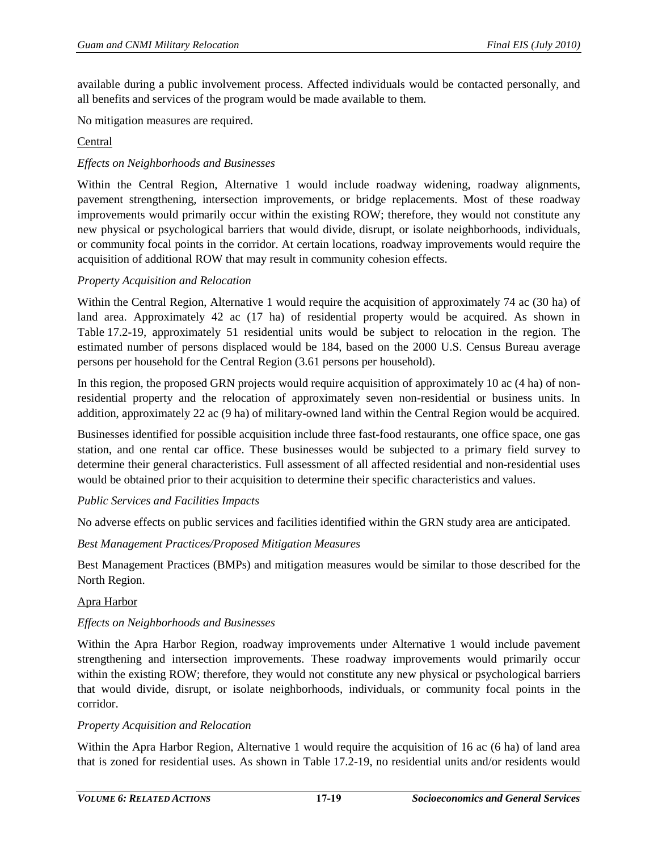available during a public involvement process. Affected individuals would be contacted personally, and all benefits and services of the program would be made available to them.

No mitigation measures are required.

#### Central

### *Effects on Neighborhoods and Businesses*

Within the Central Region, Alternative 1 would include roadway widening, roadway alignments, pavement strengthening, intersection improvements, or bridge replacements. Most of these roadway improvements would primarily occur within the existing ROW; therefore, they would not constitute any new physical or psychological barriers that would divide, disrupt, or isolate neighborhoods, individuals, or community focal points in the corridor. At certain locations, roadway improvements would require the acquisition of additional ROW that may result in community cohesion effects.

#### *Property Acquisition and Relocation*

Within the Central Region, Alternative 1 would require the acquisition of approximately 74 ac (30 ha) of land area. Approximately 42 ac (17 ha) of residential property would be acquired. As shown in [Table 17.2-19,](#page-17-0) approximately 51 residential units would be subject to relocation in the region. The estimated number of persons displaced would be 184, based on the 2000 U.S. Census Bureau average persons per household for the Central Region (3.61 persons per household).

In this region, the proposed GRN projects would require acquisition of approximately 10 ac (4 ha) of nonresidential property and the relocation of approximately seven non-residential or business units. In addition, approximately 22 ac (9 ha) of military-owned land within the Central Region would be acquired.

Businesses identified for possible acquisition include three fast-food restaurants, one office space, one gas station, and one rental car office. These businesses would be subjected to a primary field survey to determine their general characteristics. Full assessment of all affected residential and non-residential uses would be obtained prior to their acquisition to determine their specific characteristics and values.

#### *Public Services and Facilities Impacts*

No adverse effects on public services and facilities identified within the GRN study area are anticipated.

#### *Best Management Practices/Proposed Mitigation Measures*

Best Management Practices (BMPs) and mitigation measures would be similar to those described for the North Region.

#### Apra Harbor

#### *Effects on Neighborhoods and Businesses*

Within the Apra Harbor Region, roadway improvements under Alternative 1 would include pavement strengthening and intersection improvements. These roadway improvements would primarily occur within the existing ROW; therefore, they would not constitute any new physical or psychological barriers that would divide, disrupt, or isolate neighborhoods, individuals, or community focal points in the corridor.

#### *Property Acquisition and Relocation*

Within the Apra Harbor Region, Alternative 1 would require the acquisition of 16 ac (6 ha) of land area that is zoned for residential uses. As shown in [Table 17.2-19,](#page-17-0) no residential units and/or residents would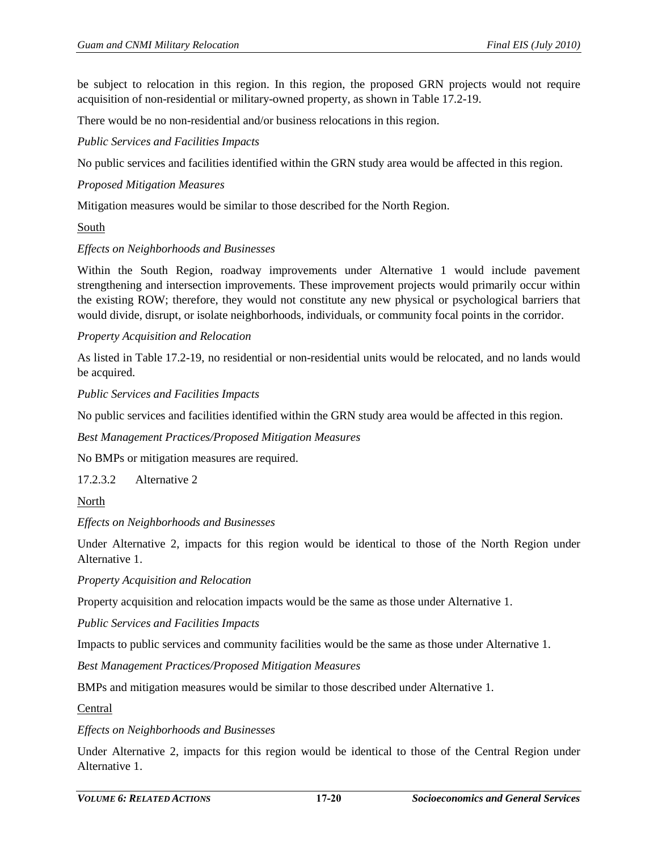be subject to relocation in this region. In this region, the proposed GRN projects would not require acquisition of non-residential or military-owned property, as shown in [Table 17.2-19.](#page-17-0)

There would be no non-residential and/or business relocations in this region.

*Public Services and Facilities Impacts*

No public services and facilities identified within the GRN study area would be affected in this region.

#### *Proposed Mitigation Measures*

Mitigation measures would be similar to those described for the North Region.

#### South

#### *Effects on Neighborhoods and Businesses*

Within the South Region, roadway improvements under Alternative 1 would include pavement strengthening and intersection improvements. These improvement projects would primarily occur within the existing ROW; therefore, they would not constitute any new physical or psychological barriers that would divide, disrupt, or isolate neighborhoods, individuals, or community focal points in the corridor.

#### *Property Acquisition and Relocation*

As listed in [Table 17.2-19,](#page-17-0) no residential or non-residential units would be relocated, and no lands would be acquired.

#### *Public Services and Facilities Impacts*

No public services and facilities identified within the GRN study area would be affected in this region.

*Best Management Practices/Proposed Mitigation Measures*

No BMPs or mitigation measures are required.

17.2.3.2 Alternative 2

North

#### *Effects on Neighborhoods and Businesses*

Under Alternative 2, impacts for this region would be identical to those of the North Region under Alternative 1.

*Property Acquisition and Relocation* 

Property acquisition and relocation impacts would be the same as those under Alternative 1.

*Public Services and Facilities Impacts*

Impacts to public services and community facilities would be the same as those under Alternative 1.

*Best Management Practices/Proposed Mitigation Measures*

BMPs and mitigation measures would be similar to those described under Alternative 1.

Central

#### *Effects on Neighborhoods and Businesses*

Under Alternative 2, impacts for this region would be identical to those of the Central Region under Alternative 1.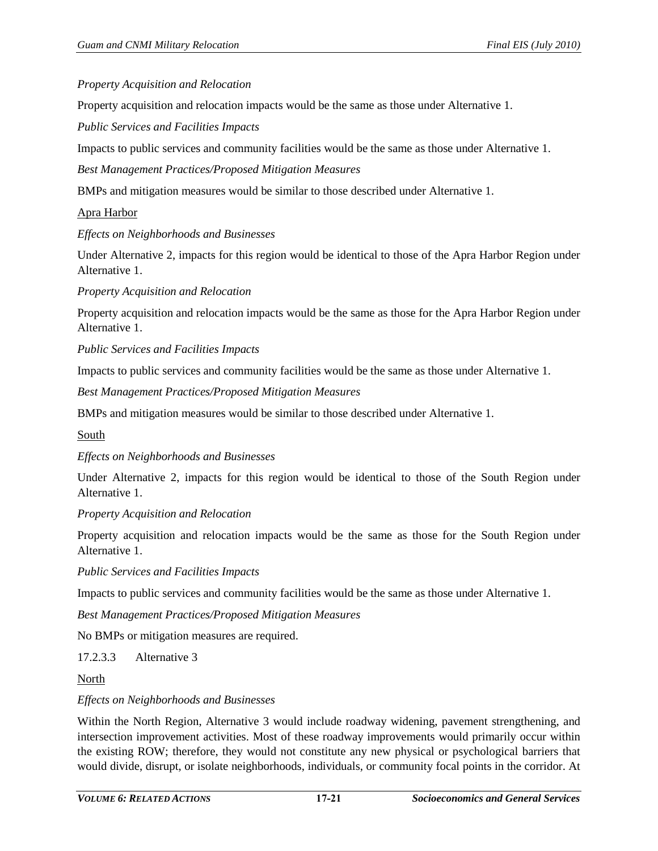#### *Property Acquisition and Relocation*

Property acquisition and relocation impacts would be the same as those under Alternative 1.

*Public Services and Facilities Impacts*

Impacts to public services and community facilities would be the same as those under Alternative 1.

*Best Management Practices/Proposed Mitigation Measures*

BMPs and mitigation measures would be similar to those described under Alternative 1.

#### Apra Harbor

#### *Effects on Neighborhoods and Businesses*

Under Alternative 2, impacts for this region would be identical to those of the Apra Harbor Region under Alternative 1.

#### *Property Acquisition and Relocation*

Property acquisition and relocation impacts would be the same as those for the Apra Harbor Region under Alternative 1.

*Public Services and Facilities Impacts*

Impacts to public services and community facilities would be the same as those under Alternative 1.

*Best Management Practices/Proposed Mitigation Measures*

BMPs and mitigation measures would be similar to those described under Alternative 1.

#### South

#### *Effects on Neighborhoods and Businesses*

Under Alternative 2, impacts for this region would be identical to those of the South Region under Alternative 1.

#### *Property Acquisition and Relocation*

Property acquisition and relocation impacts would be the same as those for the South Region under Alternative 1.

*Public Services and Facilities Impacts*

Impacts to public services and community facilities would be the same as those under Alternative 1.

*Best Management Practices/Proposed Mitigation Measures*

No BMPs or mitigation measures are required.

17.2.3.3 Alternative 3

North

#### *Effects on Neighborhoods and Businesses*

Within the North Region, Alternative 3 would include roadway widening, pavement strengthening, and intersection improvement activities. Most of these roadway improvements would primarily occur within the existing ROW; therefore, they would not constitute any new physical or psychological barriers that would divide, disrupt, or isolate neighborhoods, individuals, or community focal points in the corridor. At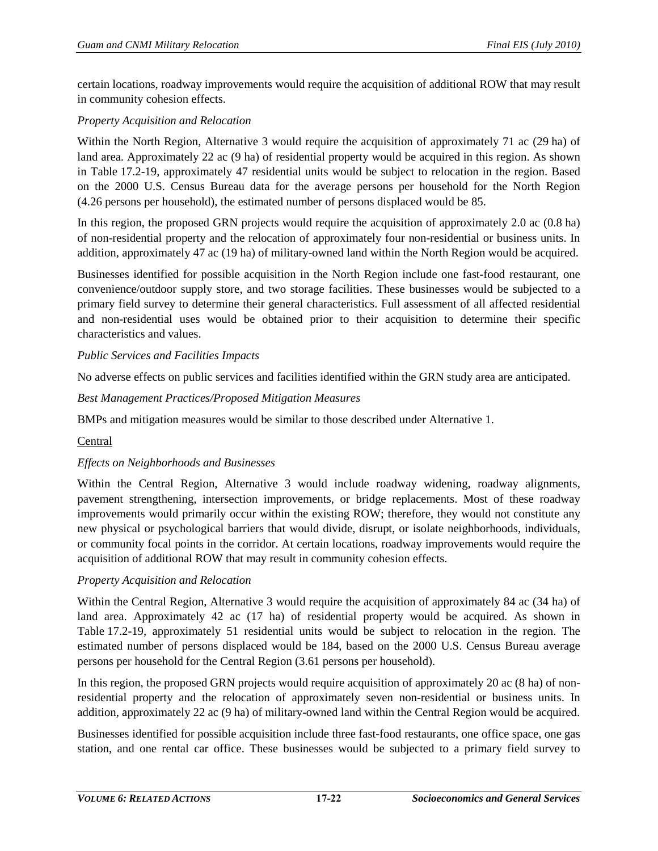certain locations, roadway improvements would require the acquisition of additional ROW that may result in community cohesion effects.

# *Property Acquisition and Relocation*

Within the North Region, Alternative 3 would require the acquisition of approximately 71 ac (29 ha) of land area. Approximately 22 ac (9 ha) of residential property would be acquired in this region. As shown in [Table 17.2-19,](#page-17-0) approximately 47 residential units would be subject to relocation in the region. Based on the 2000 U.S. Census Bureau data for the average persons per household for the North Region (4.26 persons per household), the estimated number of persons displaced would be 85.

In this region, the proposed GRN projects would require the acquisition of approximately 2.0 ac (0.8 ha) of non-residential property and the relocation of approximately four non-residential or business units. In addition, approximately 47 ac (19 ha) of military-owned land within the North Region would be acquired.

Businesses identified for possible acquisition in the North Region include one fast-food restaurant, one convenience/outdoor supply store, and two storage facilities. These businesses would be subjected to a primary field survey to determine their general characteristics. Full assessment of all affected residential and non-residential uses would be obtained prior to their acquisition to determine their specific characteristics and values.

# *Public Services and Facilities Impacts*

No adverse effects on public services and facilities identified within the GRN study area are anticipated.

# *Best Management Practices/Proposed Mitigation Measures*

BMPs and mitigation measures would be similar to those described under Alternative 1.

# **Central**

# *Effects on Neighborhoods and Businesses*

Within the Central Region, Alternative 3 would include roadway widening, roadway alignments, pavement strengthening, intersection improvements, or bridge replacements. Most of these roadway improvements would primarily occur within the existing ROW; therefore, they would not constitute any new physical or psychological barriers that would divide, disrupt, or isolate neighborhoods, individuals, or community focal points in the corridor. At certain locations, roadway improvements would require the acquisition of additional ROW that may result in community cohesion effects.

# *Property Acquisition and Relocation*

Within the Central Region, Alternative 3 would require the acquisition of approximately 84 ac (34 ha) of land area. Approximately 42 ac (17 ha) of residential property would be acquired. As shown in [Table 17.2-19,](#page-17-0) approximately 51 residential units would be subject to relocation in the region. The estimated number of persons displaced would be 184, based on the 2000 U.S. Census Bureau average persons per household for the Central Region (3.61 persons per household).

In this region, the proposed GRN projects would require acquisition of approximately 20 ac (8 ha) of nonresidential property and the relocation of approximately seven non-residential or business units. In addition, approximately 22 ac (9 ha) of military-owned land within the Central Region would be acquired.

Businesses identified for possible acquisition include three fast-food restaurants, one office space, one gas station, and one rental car office. These businesses would be subjected to a primary field survey to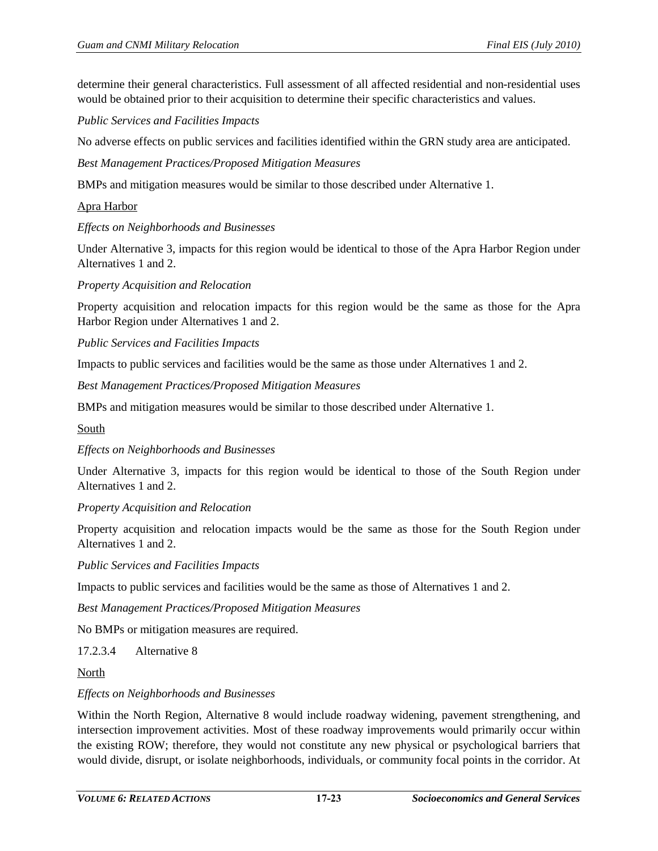determine their general characteristics. Full assessment of all affected residential and non-residential uses would be obtained prior to their acquisition to determine their specific characteristics and values.

*Public Services and Facilities Impacts*

No adverse effects on public services and facilities identified within the GRN study area are anticipated.

*Best Management Practices/Proposed Mitigation Measures*

BMPs and mitigation measures would be similar to those described under Alternative 1.

#### Apra Harbor

*Effects on Neighborhoods and Businesses* 

Under Alternative 3, impacts for this region would be identical to those of the Apra Harbor Region under Alternatives 1 and 2.

*Property Acquisition and Relocation* 

Property acquisition and relocation impacts for this region would be the same as those for the Apra Harbor Region under Alternatives 1 and 2.

*Public Services and Facilities Impacts*

Impacts to public services and facilities would be the same as those under Alternatives 1 and 2.

*Best Management Practices/Proposed Mitigation Measures*

BMPs and mitigation measures would be similar to those described under Alternative 1.

South

*Effects on Neighborhoods and Businesses* 

Under Alternative 3, impacts for this region would be identical to those of the South Region under Alternatives 1 and 2.

*Property Acquisition and Relocation* 

Property acquisition and relocation impacts would be the same as those for the South Region under Alternatives 1 and 2.

*Public Services and Facilities Impacts*

Impacts to public services and facilities would be the same as those of Alternatives 1 and 2.

*Best Management Practices/Proposed Mitigation Measures*

No BMPs or mitigation measures are required.

17.2.3.4 Alternative 8

North

#### *Effects on Neighborhoods and Businesses*

Within the North Region, Alternative 8 would include roadway widening, pavement strengthening, and intersection improvement activities. Most of these roadway improvements would primarily occur within the existing ROW; therefore, they would not constitute any new physical or psychological barriers that would divide, disrupt, or isolate neighborhoods, individuals, or community focal points in the corridor. At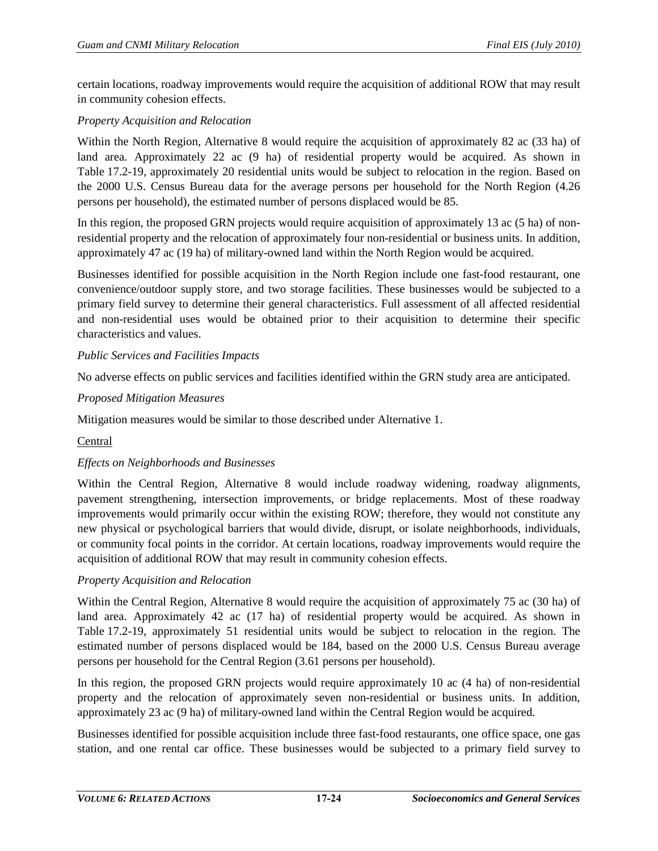certain locations, roadway improvements would require the acquisition of additional ROW that may result in community cohesion effects.

# *Property Acquisition and Relocation*

Within the North Region, Alternative 8 would require the acquisition of approximately 82 ac (33 ha) of land area. Approximately 22 ac (9 ha) of residential property would be acquired. As shown in [Table 17.2-19,](#page-17-0) approximately 20 residential units would be subject to relocation in the region. Based on the 2000 U.S. Census Bureau data for the average persons per household for the North Region (4.26 persons per household), the estimated number of persons displaced would be 85.

In this region, the proposed GRN projects would require acquisition of approximately 13 ac (5 ha) of nonresidential property and the relocation of approximately four non-residential or business units. In addition, approximately 47 ac (19 ha) of military-owned land within the North Region would be acquired.

Businesses identified for possible acquisition in the North Region include one fast-food restaurant, one convenience/outdoor supply store, and two storage facilities. These businesses would be subjected to a primary field survey to determine their general characteristics. Full assessment of all affected residential and non-residential uses would be obtained prior to their acquisition to determine their specific characteristics and values.

### *Public Services and Facilities Impacts*

No adverse effects on public services and facilities identified within the GRN study area are anticipated.

### *Proposed Mitigation Measures*

Mitigation measures would be similar to those described under Alternative 1.

# **Central**

#### *Effects on Neighborhoods and Businesses*

Within the Central Region, Alternative 8 would include roadway widening, roadway alignments, pavement strengthening, intersection improvements, or bridge replacements. Most of these roadway improvements would primarily occur within the existing ROW; therefore, they would not constitute any new physical or psychological barriers that would divide, disrupt, or isolate neighborhoods, individuals, or community focal points in the corridor. At certain locations, roadway improvements would require the acquisition of additional ROW that may result in community cohesion effects.

# *Property Acquisition and Relocation*

Within the Central Region, Alternative 8 would require the acquisition of approximately 75 ac (30 ha) of land area. Approximately 42 ac (17 ha) of residential property would be acquired. As shown in [Table 17.2-19,](#page-17-0) approximately 51 residential units would be subject to relocation in the region. The estimated number of persons displaced would be 184, based on the 2000 U.S. Census Bureau average persons per household for the Central Region (3.61 persons per household).

In this region, the proposed GRN projects would require approximately 10 ac (4 ha) of non-residential property and the relocation of approximately seven non-residential or business units. In addition, approximately 23 ac (9 ha) of military-owned land within the Central Region would be acquired.

Businesses identified for possible acquisition include three fast-food restaurants, one office space, one gas station, and one rental car office. These businesses would be subjected to a primary field survey to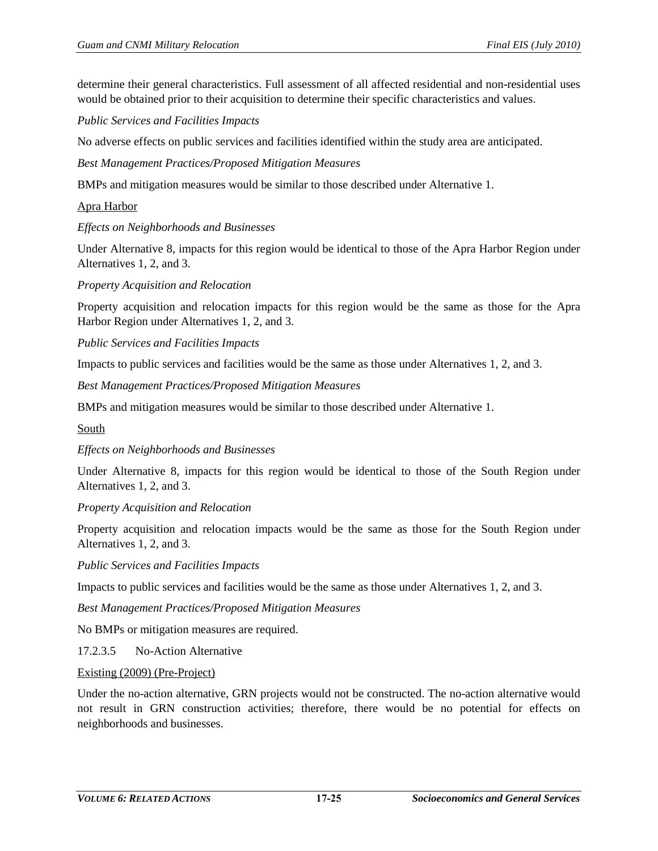determine their general characteristics. Full assessment of all affected residential and non-residential uses would be obtained prior to their acquisition to determine their specific characteristics and values.

*Public Services and Facilities Impacts*

No adverse effects on public services and facilities identified within the study area are anticipated.

*Best Management Practices/Proposed Mitigation Measures*

BMPs and mitigation measures would be similar to those described under Alternative 1.

#### Apra Harbor

*Effects on Neighborhoods and Businesses* 

Under Alternative 8, impacts for this region would be identical to those of the Apra Harbor Region under Alternatives 1, 2, and 3.

*Property Acquisition and Relocation* 

Property acquisition and relocation impacts for this region would be the same as those for the Apra Harbor Region under Alternatives 1, 2, and 3.

*Public Services and Facilities Impacts*

Impacts to public services and facilities would be the same as those under Alternatives 1, 2, and 3.

*Best Management Practices/Proposed Mitigation Measures*

BMPs and mitigation measures would be similar to those described under Alternative 1.

South

*Effects on Neighborhoods and Businesses* 

Under Alternative 8, impacts for this region would be identical to those of the South Region under Alternatives 1, 2, and 3.

#### *Property Acquisition and Relocation*

Property acquisition and relocation impacts would be the same as those for the South Region under Alternatives 1, 2, and 3.

*Public Services and Facilities Impacts*

Impacts to public services and facilities would be the same as those under Alternatives 1, 2, and 3.

*Best Management Practices/Proposed Mitigation Measures*

No BMPs or mitigation measures are required.

17.2.3.5 No-Action Alternative

#### Existing (2009) (Pre-Project)

Under the no-action alternative, GRN projects would not be constructed. The no-action alternative would not result in GRN construction activities; therefore, there would be no potential for effects on neighborhoods and businesses.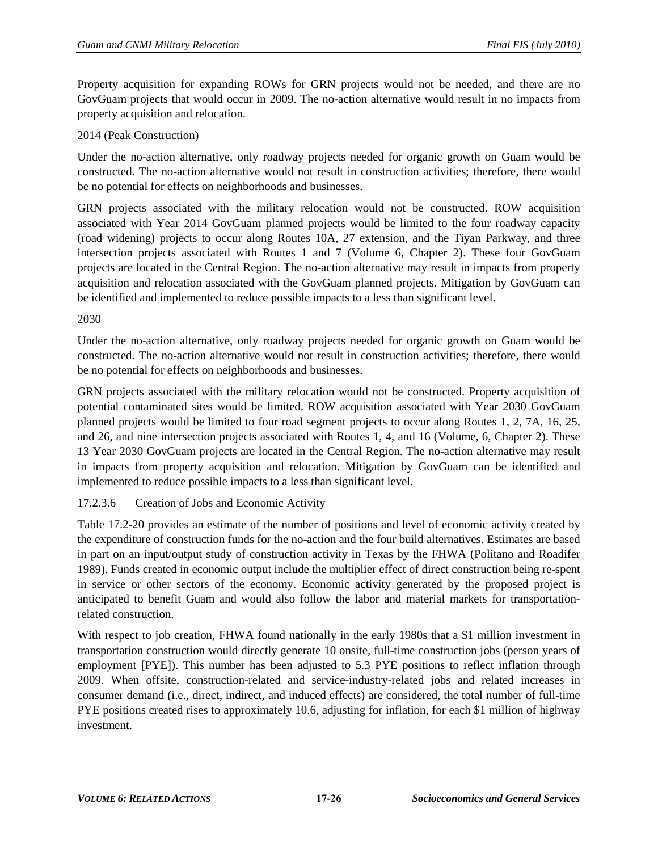Property acquisition for expanding ROWs for GRN projects would not be needed, and there are no GovGuam projects that would occur in 2009. The no-action alternative would result in no impacts from property acquisition and relocation.

# 2014 (Peak Construction)

Under the no-action alternative, only roadway projects needed for organic growth on Guam would be constructed. The no-action alternative would not result in construction activities; therefore, there would be no potential for effects on neighborhoods and businesses.

GRN projects associated with the military relocation would not be constructed. ROW acquisition associated with Year 2014 GovGuam planned projects would be limited to the four roadway capacity (road widening) projects to occur along Routes 10A, 27 extension, and the Tiyan Parkway, and three intersection projects associated with Routes 1 and 7 (Volume 6, Chapter 2). These four GovGuam projects are located in the Central Region. The no-action alternative may result in impacts from property acquisition and relocation associated with the GovGuam planned projects. Mitigation by GovGuam can be identified and implemented to reduce possible impacts to a less than significant level.

# 2030

Under the no-action alternative, only roadway projects needed for organic growth on Guam would be constructed. The no-action alternative would not result in construction activities; therefore, there would be no potential for effects on neighborhoods and businesses.

GRN projects associated with the military relocation would not be constructed. Property acquisition of potential contaminated sites would be limited. ROW acquisition associated with Year 2030 GovGuam planned projects would be limited to four road segment projects to occur along Routes 1, 2, 7A, 16, 25, and 26, and nine intersection projects associated with Routes 1, 4, and 16 (Volume, 6, Chapter 2). These 13 Year 2030 GovGuam projects are located in the Central Region. The no-action alternative may result in impacts from property acquisition and relocation. Mitigation by GovGuam can be identified and implemented to reduce possible impacts to a less than significant level.

# 17.2.3.6 Creation of Jobs and Economic Activity

[Table 17.2-20](#page-26-0) provides an estimate of the number of positions and level of economic activity created by the expenditure of construction funds for the no-action and the four build alternatives. Estimates are based in part on an input/output study of construction activity in Texas by the FHWA (Politano and Roadifer 1989). Funds created in economic output include the multiplier effect of direct construction being re-spent in service or other sectors of the economy. Economic activity generated by the proposed project is anticipated to benefit Guam and would also follow the labor and material markets for transportationrelated construction.

With respect to job creation, FHWA found nationally in the early 1980s that a \$1 million investment in transportation construction would directly generate 10 onsite, full-time construction jobs (person years of employment [PYE]). This number has been adjusted to 5.3 PYE positions to reflect inflation through 2009. When offsite, construction-related and service-industry-related jobs and related increases in consumer demand (i.e., direct, indirect, and induced effects) are considered, the total number of full-time PYE positions created rises to approximately 10.6, adjusting for inflation, for each \$1 million of highway investment.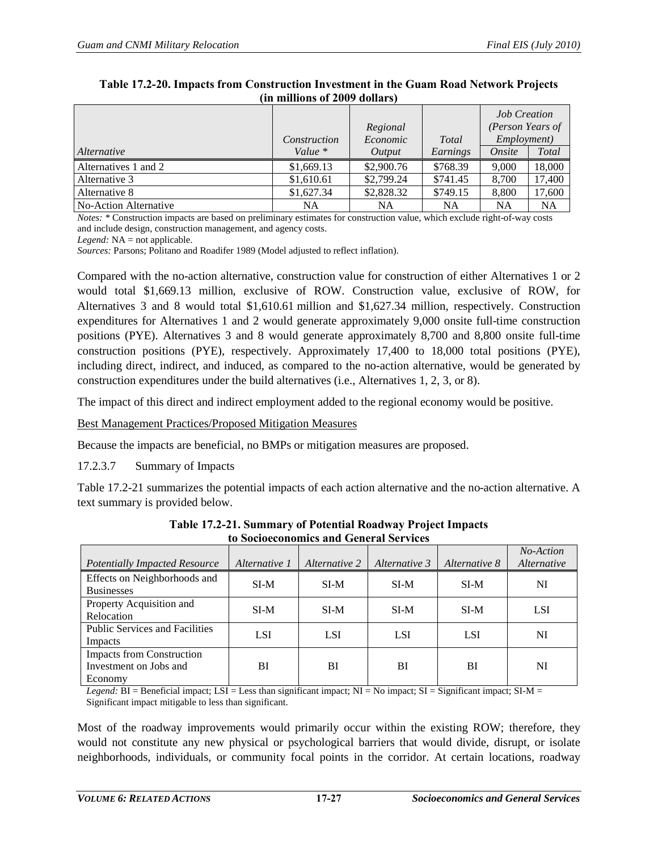|                       |              |            |          | <b>Job Creation</b> |           |
|-----------------------|--------------|------------|----------|---------------------|-----------|
|                       |              | Regional   |          | (Person Years of    |           |
|                       | Construction | Economic   | Total    | Employment)         |           |
| Alternative           | Value $*$    | Output     | Earnings | Onsite              | Total     |
| Alternatives 1 and 2  | \$1,669.13   | \$2,900.76 | \$768.39 | 9.000               | 18,000    |
| Alternative 3         | \$1,610.61   | \$2,799.24 | \$741.45 | 8.700               | 17,400    |
| Alternative 8         | \$1,627.34   | \$2,828.32 | \$749.15 | 8.800               | 17,600    |
| No-Action Alternative | NA           | NA         | NA       | <b>NA</b>           | <b>NA</b> |

#### <span id="page-26-0"></span>**Table 17.2-20. Impacts from Construction Investment in the Guam Road Network Projects (in millions of 2009 dollars)**

*Notes: \** Construction impacts are based on preliminary estimates for construction value, which exclude right-of-way costs and include design, construction management, and agency costs.

*Legend:* NA = not applicable.

*Sources:* Parsons; Politano and Roadifer 1989 (Model adjusted to reflect inflation).

Compared with the no-action alternative, construction value for construction of either Alternatives 1 or 2 would total \$1,669.13 million, exclusive of ROW. Construction value, exclusive of ROW, for Alternatives 3 and 8 would total \$1,610.61 million and \$1,627.34 million, respectively. Construction expenditures for Alternatives 1 and 2 would generate approximately 9,000 onsite full-time construction positions (PYE). Alternatives 3 and 8 would generate approximately 8,700 and 8,800 onsite full-time construction positions (PYE), respectively. Approximately 17,400 to 18,000 total positions (PYE), including direct, indirect, and induced, as compared to the no-action alternative, would be generated by construction expenditures under the build alternatives (i.e., Alternatives 1, 2, 3, or 8).

The impact of this direct and indirect employment added to the regional economy would be positive.

Best Management Practices/Proposed Mitigation Measures

Because the impacts are beneficial, no BMPs or mitigation measures are proposed.

17.2.3.7 Summary of Impacts

[Table 17.2-21](#page-26-1) summarizes the potential impacts of each action alternative and the no-action alternative. A text summary is provided below.

<span id="page-26-1"></span>

| Potentially Impacted Resource                                         | Alternative 1 | Alternative 2 | Alternative 3 | Alternative 8 | No-Action<br><i>Alternative</i> |
|-----------------------------------------------------------------------|---------------|---------------|---------------|---------------|---------------------------------|
| Effects on Neighborhoods and<br><b>Businesses</b>                     | $SI-M$        | SI-M          | SI-M          | SI-M          | NI                              |
| Property Acquisition and<br>Relocation                                | $SI-M$        | SI-M          | $SI-M$        | $SI-M$        | <b>LSI</b>                      |
| <b>Public Services and Facilities</b><br>Impacts                      | <b>LSI</b>    | <b>LSI</b>    | <b>LSI</b>    | <b>LSI</b>    | NI                              |
| <b>Impacts from Construction</b><br>Investment on Jobs and<br>Economy | ВI            | BI            | BI            | BI            | NI                              |

**Table 17.2-21. Summary of Potential Roadway Project Impacts to Socioeconomics and General Services** 

*Legend:* BI = Beneficial impact; LSI = Less than significant impact; NI = No impact; SI = Significant impact; SI-M = Significant impact mitigable to less than significant.

Most of the roadway improvements would primarily occur within the existing ROW; therefore, they would not constitute any new physical or psychological barriers that would divide, disrupt, or isolate neighborhoods, individuals, or community focal points in the corridor. At certain locations, roadway